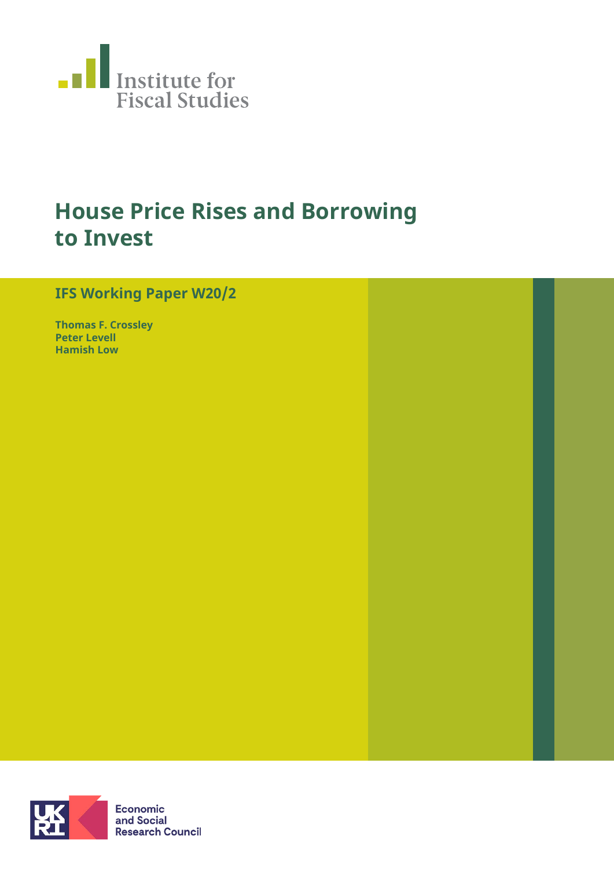

# **House Price Rises and Borrowing to Invest**

## **IFS Working Paper W20/2**

**Thomas F. Crossley Peter Levell Hamish Low**

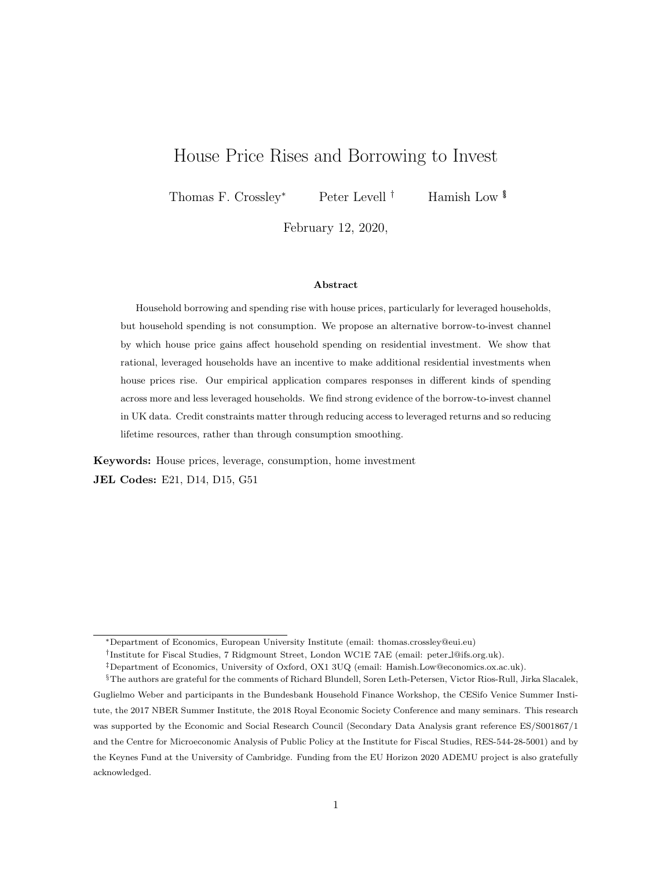## House Price Rises and Borrowing to Invest

Thomas F. Crossley<sup>∗</sup> Peter Levell<sup>†</sup> Hamish Low <sup>\$</sup>

February 12, 2020,

#### Abstract

Household borrowing and spending rise with house prices, particularly for leveraged households, but household spending is not consumption. We propose an alternative borrow-to-invest channel by which house price gains affect household spending on residential investment. We show that rational, leveraged households have an incentive to make additional residential investments when house prices rise. Our empirical application compares responses in different kinds of spending across more and less leveraged households. We find strong evidence of the borrow-to-invest channel in UK data. Credit constraints matter through reducing access to leveraged returns and so reducing lifetime resources, rather than through consumption smoothing.

Keywords: House prices, leverage, consumption, home investment JEL Codes: E21, D14, D15, G51

<sup>∗</sup>Department of Economics, European University Institute (email: thomas.crossley@eui.eu)

<sup>†</sup> Institute for Fiscal Studies, 7 Ridgmount Street, London WC1E 7AE (email: peter l@ifs.org.uk).

<sup>‡</sup>Department of Economics, University of Oxford, OX1 3UQ (email: Hamish.Low@economics.ox.ac.uk).

<sup>§</sup>The authors are grateful for the comments of Richard Blundell, Soren Leth-Petersen, Victor Rios-Rull, Jirka Slacalek, Guglielmo Weber and participants in the Bundesbank Household Finance Workshop, the CESifo Venice Summer Institute, the 2017 NBER Summer Institute, the 2018 Royal Economic Society Conference and many seminars. This research was supported by the Economic and Social Research Council (Secondary Data Analysis grant reference ES/S001867/1 and the Centre for Microeconomic Analysis of Public Policy at the Institute for Fiscal Studies, RES-544-28-5001) and by the Keynes Fund at the University of Cambridge. Funding from the EU Horizon 2020 ADEMU project is also gratefully acknowledged.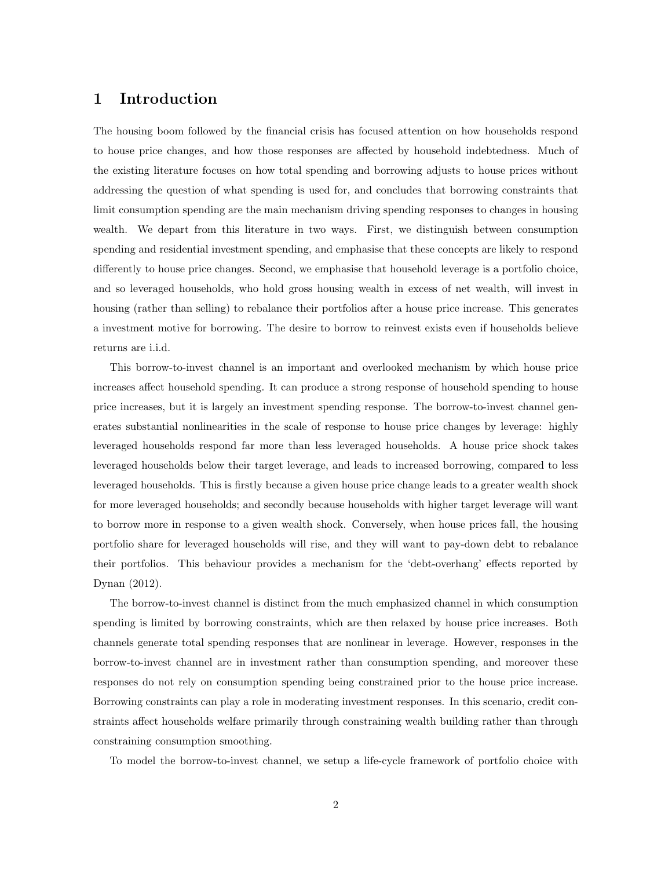## 1 Introduction

The housing boom followed by the financial crisis has focused attention on how households respond to house price changes, and how those responses are affected by household indebtedness. Much of the existing literature focuses on how total spending and borrowing adjusts to house prices without addressing the question of what spending is used for, and concludes that borrowing constraints that limit consumption spending are the main mechanism driving spending responses to changes in housing wealth. We depart from this literature in two ways. First, we distinguish between consumption spending and residential investment spending, and emphasise that these concepts are likely to respond differently to house price changes. Second, we emphasise that household leverage is a portfolio choice, and so leveraged households, who hold gross housing wealth in excess of net wealth, will invest in housing (rather than selling) to rebalance their portfolios after a house price increase. This generates a investment motive for borrowing. The desire to borrow to reinvest exists even if households believe returns are i.i.d.

This borrow-to-invest channel is an important and overlooked mechanism by which house price increases affect household spending. It can produce a strong response of household spending to house price increases, but it is largely an investment spending response. The borrow-to-invest channel generates substantial nonlinearities in the scale of response to house price changes by leverage: highly leveraged households respond far more than less leveraged households. A house price shock takes leveraged households below their target leverage, and leads to increased borrowing, compared to less leveraged households. This is firstly because a given house price change leads to a greater wealth shock for more leveraged households; and secondly because households with higher target leverage will want to borrow more in response to a given wealth shock. Conversely, when house prices fall, the housing portfolio share for leveraged households will rise, and they will want to pay-down debt to rebalance their portfolios. This behaviour provides a mechanism for the 'debt-overhang' effects reported by Dynan (2012).

The borrow-to-invest channel is distinct from the much emphasized channel in which consumption spending is limited by borrowing constraints, which are then relaxed by house price increases. Both channels generate total spending responses that are nonlinear in leverage. However, responses in the borrow-to-invest channel are in investment rather than consumption spending, and moreover these responses do not rely on consumption spending being constrained prior to the house price increase. Borrowing constraints can play a role in moderating investment responses. In this scenario, credit constraints affect households welfare primarily through constraining wealth building rather than through constraining consumption smoothing.

To model the borrow-to-invest channel, we setup a life-cycle framework of portfolio choice with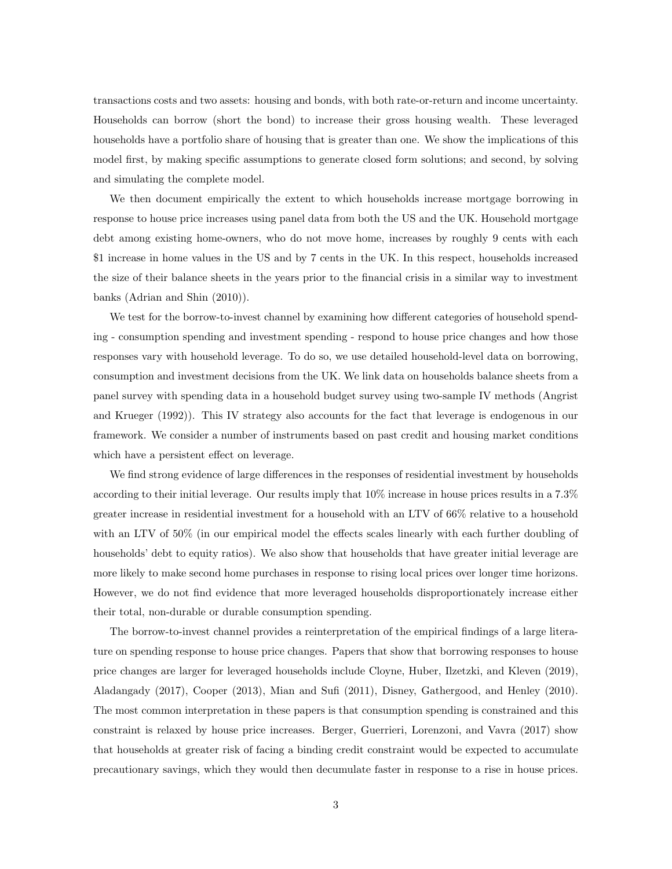transactions costs and two assets: housing and bonds, with both rate-or-return and income uncertainty. Households can borrow (short the bond) to increase their gross housing wealth. These leveraged households have a portfolio share of housing that is greater than one. We show the implications of this model first, by making specific assumptions to generate closed form solutions; and second, by solving and simulating the complete model.

We then document empirically the extent to which households increase mortgage borrowing in response to house price increases using panel data from both the US and the UK. Household mortgage debt among existing home-owners, who do not move home, increases by roughly 9 cents with each \$1 increase in home values in the US and by 7 cents in the UK. In this respect, households increased the size of their balance sheets in the years prior to the financial crisis in a similar way to investment banks (Adrian and Shin (2010)).

We test for the borrow-to-invest channel by examining how different categories of household spending - consumption spending and investment spending - respond to house price changes and how those responses vary with household leverage. To do so, we use detailed household-level data on borrowing, consumption and investment decisions from the UK. We link data on households balance sheets from a panel survey with spending data in a household budget survey using two-sample IV methods (Angrist and Krueger (1992)). This IV strategy also accounts for the fact that leverage is endogenous in our framework. We consider a number of instruments based on past credit and housing market conditions which have a persistent effect on leverage.

We find strong evidence of large differences in the responses of residential investment by households according to their initial leverage. Our results imply that 10% increase in house prices results in a 7.3% greater increase in residential investment for a household with an LTV of 66% relative to a household with an LTV of 50% (in our empirical model the effects scales linearly with each further doubling of households' debt to equity ratios). We also show that households that have greater initial leverage are more likely to make second home purchases in response to rising local prices over longer time horizons. However, we do not find evidence that more leveraged households disproportionately increase either their total, non-durable or durable consumption spending.

The borrow-to-invest channel provides a reinterpretation of the empirical findings of a large literature on spending response to house price changes. Papers that show that borrowing responses to house price changes are larger for leveraged households include Cloyne, Huber, Ilzetzki, and Kleven (2019), Aladangady (2017), Cooper (2013), Mian and Sufi (2011), Disney, Gathergood, and Henley (2010). The most common interpretation in these papers is that consumption spending is constrained and this constraint is relaxed by house price increases. Berger, Guerrieri, Lorenzoni, and Vavra (2017) show that households at greater risk of facing a binding credit constraint would be expected to accumulate precautionary savings, which they would then decumulate faster in response to a rise in house prices.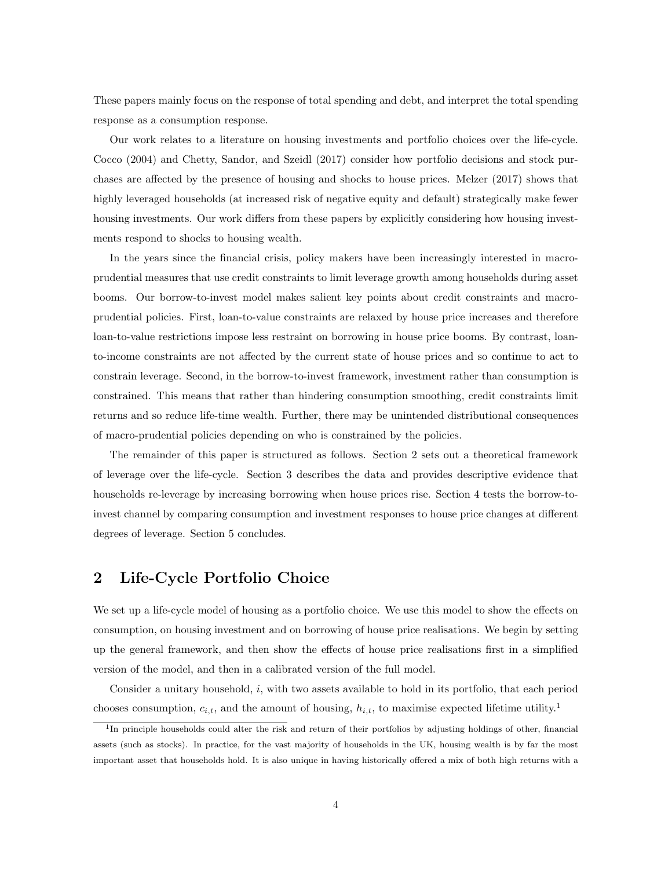These papers mainly focus on the response of total spending and debt, and interpret the total spending response as a consumption response.

Our work relates to a literature on housing investments and portfolio choices over the life-cycle. Cocco (2004) and Chetty, Sandor, and Szeidl (2017) consider how portfolio decisions and stock purchases are affected by the presence of housing and shocks to house prices. Melzer (2017) shows that highly leveraged households (at increased risk of negative equity and default) strategically make fewer housing investments. Our work differs from these papers by explicitly considering how housing investments respond to shocks to housing wealth.

In the years since the financial crisis, policy makers have been increasingly interested in macroprudential measures that use credit constraints to limit leverage growth among households during asset booms. Our borrow-to-invest model makes salient key points about credit constraints and macroprudential policies. First, loan-to-value constraints are relaxed by house price increases and therefore loan-to-value restrictions impose less restraint on borrowing in house price booms. By contrast, loanto-income constraints are not affected by the current state of house prices and so continue to act to constrain leverage. Second, in the borrow-to-invest framework, investment rather than consumption is constrained. This means that rather than hindering consumption smoothing, credit constraints limit returns and so reduce life-time wealth. Further, there may be unintended distributional consequences of macro-prudential policies depending on who is constrained by the policies.

The remainder of this paper is structured as follows. Section 2 sets out a theoretical framework of leverage over the life-cycle. Section 3 describes the data and provides descriptive evidence that households re-leverage by increasing borrowing when house prices rise. Section 4 tests the borrow-toinvest channel by comparing consumption and investment responses to house price changes at different degrees of leverage. Section 5 concludes.

## 2 Life-Cycle Portfolio Choice

We set up a life-cycle model of housing as a portfolio choice. We use this model to show the effects on consumption, on housing investment and on borrowing of house price realisations. We begin by setting up the general framework, and then show the effects of house price realisations first in a simplified version of the model, and then in a calibrated version of the full model.

Consider a unitary household, i, with two assets available to hold in its portfolio, that each period chooses consumption,  $c_{i,t}$ , and the amount of housing,  $h_{i,t}$ , to maximise expected lifetime utility.<sup>1</sup>

<sup>&</sup>lt;sup>1</sup>In principle households could alter the risk and return of their portfolios by adjusting holdings of other, financial assets (such as stocks). In practice, for the vast majority of households in the UK, housing wealth is by far the most important asset that households hold. It is also unique in having historically offered a mix of both high returns with a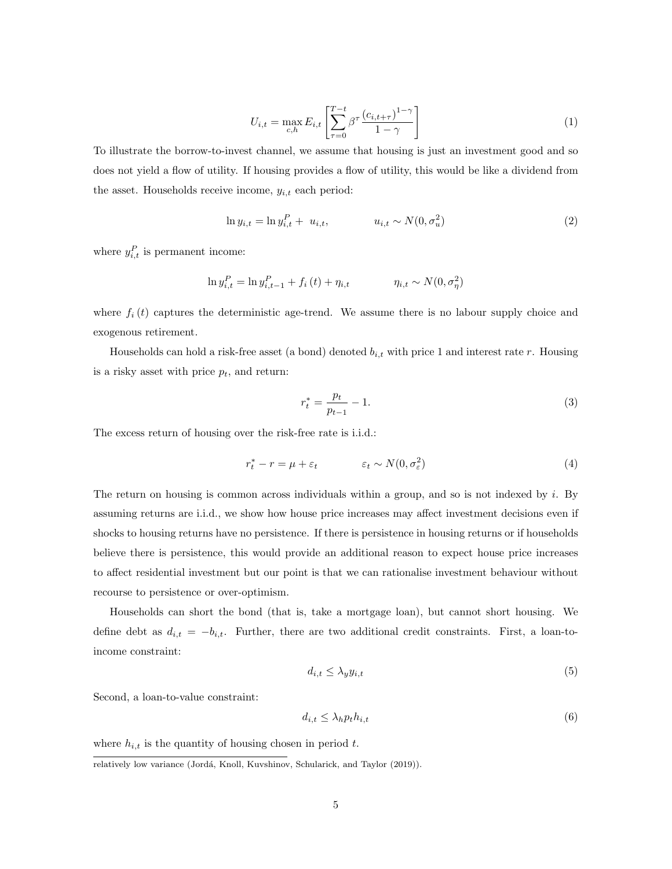$$
U_{i,t} = \max_{c,h} E_{i,t} \left[ \sum_{\tau=0}^{T-t} \beta^{\tau} \frac{(c_{i,t+\tau})^{1-\gamma}}{1-\gamma} \right]
$$
 (1)

To illustrate the borrow-to-invest channel, we assume that housing is just an investment good and so does not yield a flow of utility. If housing provides a flow of utility, this would be like a dividend from the asset. Households receive income,  $y_{i,t}$  each period:

$$
\ln y_{i,t} = \ln y_{i,t}^P + u_{i,t}, \qquad u_{i,t} \sim N(0, \sigma_u^2) \tag{2}
$$

where  $y_{i,t}^P$  is permanent income:

$$
\ln y_{i,t}^P = \ln y_{i,t-1}^P + f_i(t) + \eta_{i,t} \qquad \eta_{i,t} \sim N(0, \sigma_\eta^2)
$$

where  $f_i(t)$  captures the deterministic age-trend. We assume there is no labour supply choice and exogenous retirement.

Households can hold a risk-free asset (a bond) denoted  $b_{i,t}$  with price 1 and interest rate r. Housing is a risky asset with price  $p_t$ , and return:

$$
r_t^* = \frac{p_t}{p_{t-1}} - 1.
$$
\n(3)

The excess return of housing over the risk-free rate is i.i.d.:

$$
r_t^* - r = \mu + \varepsilon_t \qquad \qquad \varepsilon_t \sim N(0, \sigma_\varepsilon^2) \tag{4}
$$

The return on housing is common across individuals within a group, and so is not indexed by i. By assuming returns are i.i.d., we show how house price increases may affect investment decisions even if shocks to housing returns have no persistence. If there is persistence in housing returns or if households believe there is persistence, this would provide an additional reason to expect house price increases to affect residential investment but our point is that we can rationalise investment behaviour without recourse to persistence or over-optimism.

Households can short the bond (that is, take a mortgage loan), but cannot short housing. We define debt as  $d_{i,t} = -b_{i,t}$ . Further, there are two additional credit constraints. First, a loan-toincome constraint:

$$
d_{i,t} \le \lambda_y y_{i,t} \tag{5}
$$

Second, a loan-to-value constraint:

$$
d_{i,t} \le \lambda_h p_t h_{i,t} \tag{6}
$$

where  $h_{i,t}$  is the quantity of housing chosen in period t.

relatively low variance (Jordá, Knoll, Kuvshinov, Schularick, and Taylor (2019)).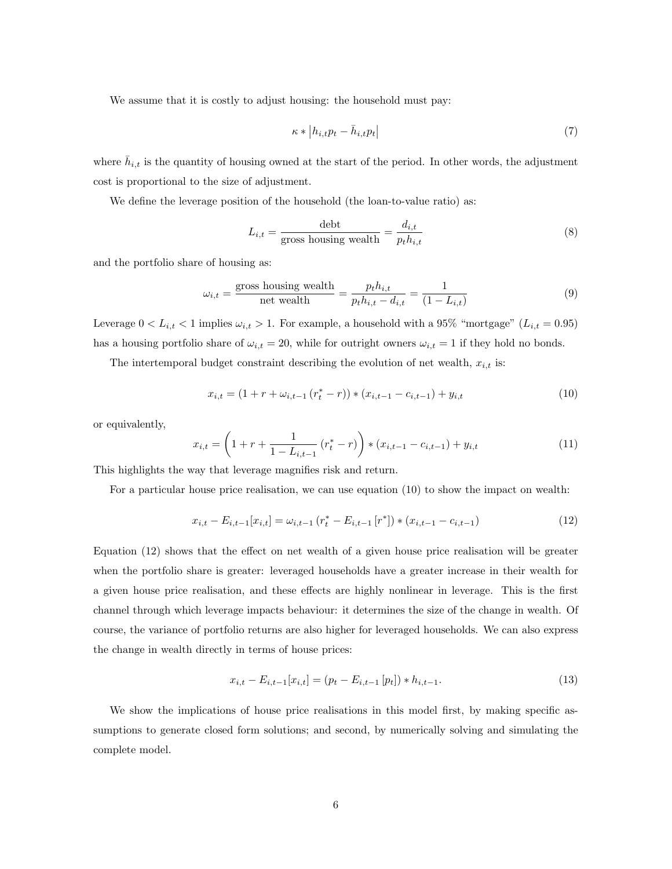We assume that it is costly to adjust housing: the household must pay:

$$
\kappa * |h_{i,t}p_t - \bar{h}_{i,t}p_t|
$$
\n<sup>(7)</sup>

where  $\bar{h}_{i,t}$  is the quantity of housing owned at the start of the period. In other words, the adjustment cost is proportional to the size of adjustment.

We define the leverage position of the household (the loan-to-value ratio) as:

$$
L_{i,t} = \frac{\text{debt}}{\text{gross housing wealth}} = \frac{d_{i,t}}{p_t h_{i,t}} \tag{8}
$$

and the portfolio share of housing as:

$$
\omega_{i,t} = \frac{\text{gross housing wealth}}{\text{net wealth}} = \frac{p_t h_{i,t}}{p_t h_{i,t} - d_{i,t}} = \frac{1}{(1 - L_{i,t})}
$$
(9)

Leverage  $0 < L_{i,t} < 1$  implies  $\omega_{i,t} > 1$ . For example, a household with a 95% "mortgage"  $(L_{i,t} = 0.95)$ has a housing portfolio share of  $\omega_{i,t} = 20$ , while for outright owners  $\omega_{i,t} = 1$  if they hold no bonds.

The intertemporal budget constraint describing the evolution of net wealth,  $x_{i,t}$  is:

$$
x_{i,t} = (1 + r + \omega_{i,t-1} (r_t^* - r)) * (x_{i,t-1} - c_{i,t-1}) + y_{i,t}
$$
\n
$$
(10)
$$

or equivalently,

$$
x_{i,t} = \left(1 + r + \frac{1}{1 - L_{i,t-1}} \left(r_t^* - r\right)\right) * \left(x_{i,t-1} - c_{i,t-1}\right) + y_{i,t} \tag{11}
$$

This highlights the way that leverage magnifies risk and return.

For a particular house price realisation, we can use equation (10) to show the impact on wealth:

$$
x_{i,t} - E_{i,t-1}[x_{i,t}] = \omega_{i,t-1} (r_t^* - E_{i,t-1}[r^*]) * (x_{i,t-1} - c_{i,t-1})
$$
\n(12)

Equation (12) shows that the effect on net wealth of a given house price realisation will be greater when the portfolio share is greater: leveraged households have a greater increase in their wealth for a given house price realisation, and these effects are highly nonlinear in leverage. This is the first channel through which leverage impacts behaviour: it determines the size of the change in wealth. Of course, the variance of portfolio returns are also higher for leveraged households. We can also express the change in wealth directly in terms of house prices:

$$
x_{i,t} - E_{i,t-1}[x_{i,t}] = (p_t - E_{i,t-1}[p_t]) * h_{i,t-1}.
$$
\n(13)

We show the implications of house price realisations in this model first, by making specific assumptions to generate closed form solutions; and second, by numerically solving and simulating the complete model.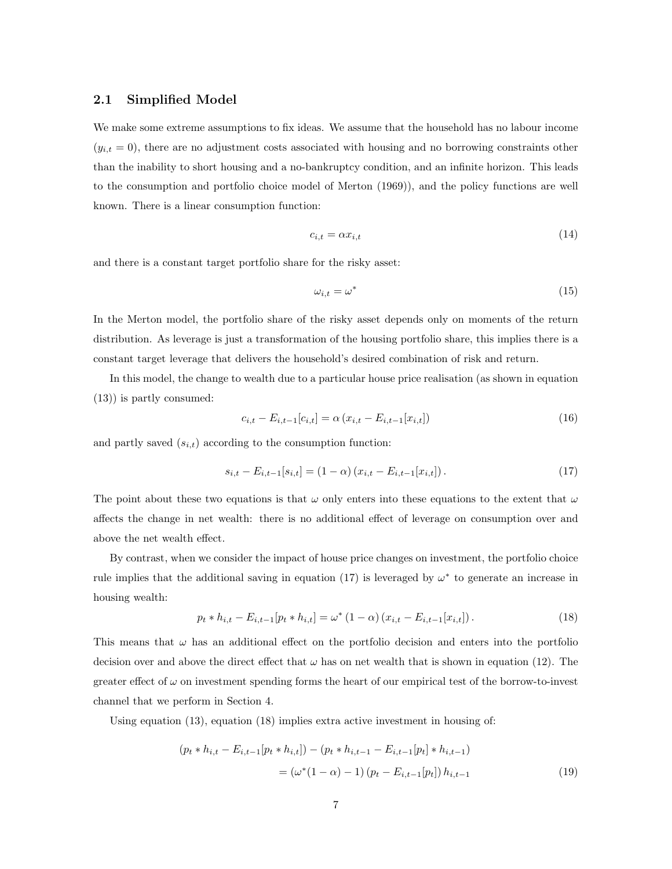#### 2.1 Simplified Model

We make some extreme assumptions to fix ideas. We assume that the household has no labour income  $(y_{i,t} = 0)$ , there are no adjustment costs associated with housing and no borrowing constraints other than the inability to short housing and a no-bankruptcy condition, and an infinite horizon. This leads to the consumption and portfolio choice model of Merton (1969)), and the policy functions are well known. There is a linear consumption function:

$$
c_{i,t} = \alpha x_{i,t} \tag{14}
$$

and there is a constant target portfolio share for the risky asset:

$$
\omega_{i,t} = \omega^* \tag{15}
$$

In the Merton model, the portfolio share of the risky asset depends only on moments of the return distribution. As leverage is just a transformation of the housing portfolio share, this implies there is a constant target leverage that delivers the household's desired combination of risk and return.

In this model, the change to wealth due to a particular house price realisation (as shown in equation (13)) is partly consumed:

$$
c_{i,t} - E_{i,t-1}[c_{i,t}] = \alpha (x_{i,t} - E_{i,t-1}[x_{i,t}])
$$
\n(16)

and partly saved  $\left( s_{i,t}\right)$  according to the consumption function:

$$
s_{i,t} - E_{i,t-1}[s_{i,t}] = (1 - \alpha) (x_{i,t} - E_{i,t-1}[x_{i,t}]). \qquad (17)
$$

The point about these two equations is that  $\omega$  only enters into these equations to the extent that  $\omega$ affects the change in net wealth: there is no additional effect of leverage on consumption over and above the net wealth effect.

By contrast, when we consider the impact of house price changes on investment, the portfolio choice rule implies that the additional saving in equation (17) is leveraged by  $\omega^*$  to generate an increase in housing wealth:

$$
p_t * h_{i,t} - E_{i,t-1}[p_t * h_{i,t}] = \omega^* (1 - \alpha) (x_{i,t} - E_{i,t-1}[x_{i,t}]).
$$
\n(18)

This means that  $\omega$  has an additional effect on the portfolio decision and enters into the portfolio decision over and above the direct effect that  $\omega$  has on net wealth that is shown in equation (12). The greater effect of  $\omega$  on investment spending forms the heart of our empirical test of the borrow-to-invest channel that we perform in Section 4.

Using equation  $(13)$ , equation  $(18)$  implies extra active investment in housing of:

$$
(p_t * h_{i,t} - E_{i,t-1}[p_t * h_{i,t}]) - (p_t * h_{i,t-1} - E_{i,t-1}[p_t] * h_{i,t-1})
$$
  
= 
$$
(\omega^*(1 - \alpha) - 1) (p_t - E_{i,t-1}[p_t]) h_{i,t-1}
$$
 (19)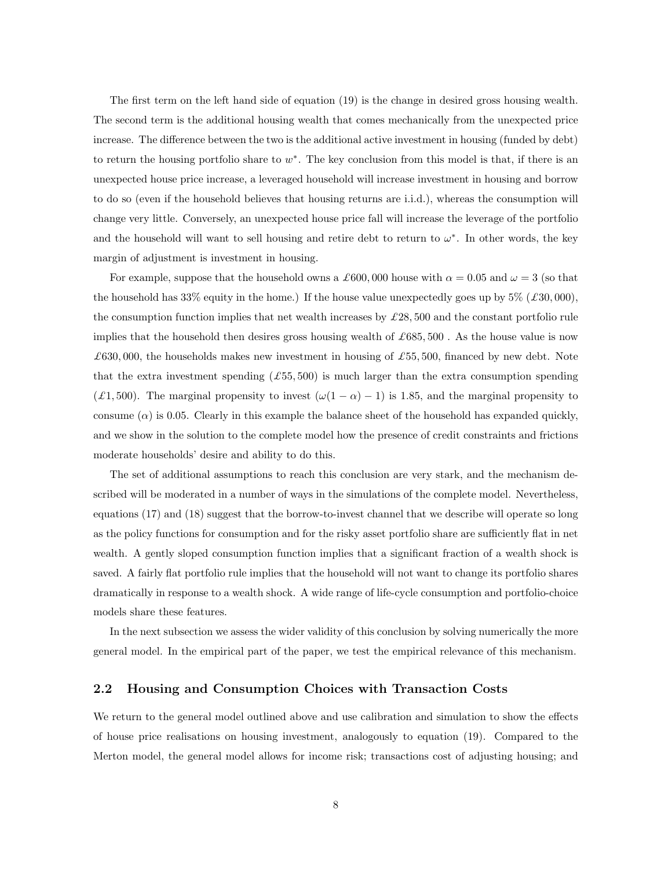The first term on the left hand side of equation (19) is the change in desired gross housing wealth. The second term is the additional housing wealth that comes mechanically from the unexpected price increase. The difference between the two is the additional active investment in housing (funded by debt) to return the housing portfolio share to  $w^*$ . The key conclusion from this model is that, if there is an unexpected house price increase, a leveraged household will increase investment in housing and borrow to do so (even if the household believes that housing returns are i.i.d.), whereas the consumption will change very little. Conversely, an unexpected house price fall will increase the leverage of the portfolio and the household will want to sell housing and retire debt to return to  $\omega^*$ . In other words, the key margin of adjustment is investment in housing.

For example, suppose that the household owns a £600,000 house with  $\alpha = 0.05$  and  $\omega = 3$  (so that the household has 33% equity in the home.) If the house value unexpectedly goes up by  $5\%$  ( $\pounds 30,000$ ), the consumption function implies that net wealth increases by  $\pounds 28,500$  and the constant portfolio rule implies that the household then desires gross housing wealth of  $\pounds 685, 500$ . As the house value is now £630,000, the households makes new investment in housing of £55,500, financed by new debt. Note that the extra investment spending  $(\pounds 55, 500)$  is much larger than the extra consumption spending (£1,500). The marginal propensity to invest  $(\omega(1 - \alpha) - 1)$  is 1.85, and the marginal propensity to consume  $(\alpha)$  is 0.05. Clearly in this example the balance sheet of the household has expanded quickly, and we show in the solution to the complete model how the presence of credit constraints and frictions moderate households' desire and ability to do this.

The set of additional assumptions to reach this conclusion are very stark, and the mechanism described will be moderated in a number of ways in the simulations of the complete model. Nevertheless, equations (17) and (18) suggest that the borrow-to-invest channel that we describe will operate so long as the policy functions for consumption and for the risky asset portfolio share are sufficiently flat in net wealth. A gently sloped consumption function implies that a significant fraction of a wealth shock is saved. A fairly flat portfolio rule implies that the household will not want to change its portfolio shares dramatically in response to a wealth shock. A wide range of life-cycle consumption and portfolio-choice models share these features.

In the next subsection we assess the wider validity of this conclusion by solving numerically the more general model. In the empirical part of the paper, we test the empirical relevance of this mechanism.

#### 2.2 Housing and Consumption Choices with Transaction Costs

We return to the general model outlined above and use calibration and simulation to show the effects of house price realisations on housing investment, analogously to equation (19). Compared to the Merton model, the general model allows for income risk; transactions cost of adjusting housing; and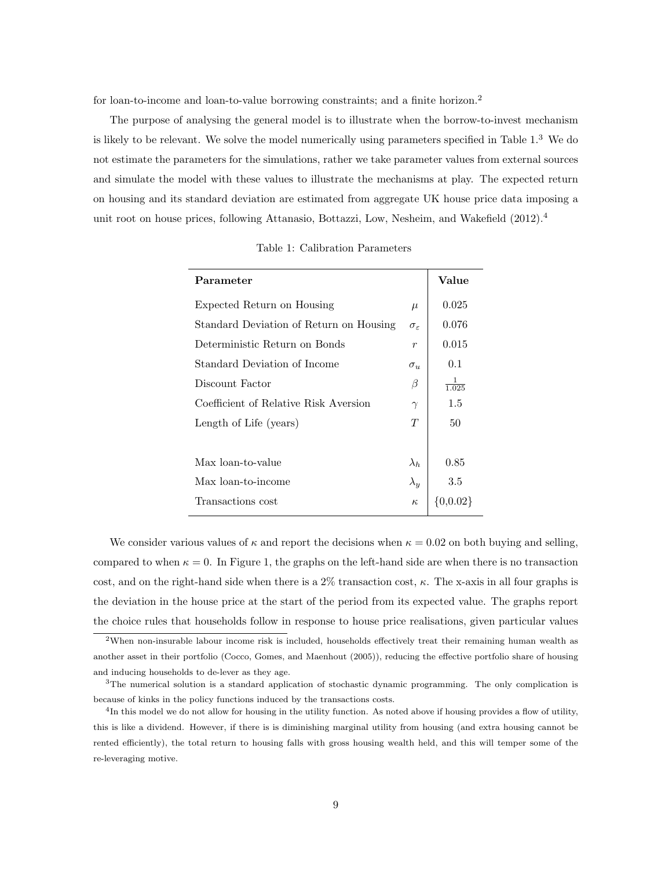for loan-to-income and loan-to-value borrowing constraints; and a finite horizon.<sup>2</sup>

The purpose of analysing the general model is to illustrate when the borrow-to-invest mechanism is likely to be relevant. We solve the model numerically using parameters specified in Table 1.<sup>3</sup> We do not estimate the parameters for the simulations, rather we take parameter values from external sources and simulate the model with these values to illustrate the mechanisms at play. The expected return on housing and its standard deviation are estimated from aggregate UK house price data imposing a unit root on house prices, following Attanasio, Bottazzi, Low, Nesheim, and Wakefield (2012).<sup>4</sup>

| Parameter                               |                        | Value        |
|-----------------------------------------|------------------------|--------------|
| Expected Return on Housing              | $\mu$                  | 0.025        |
| Standard Deviation of Return on Housing | $\sigma_{\varepsilon}$ | 0.076        |
| Deterministic Return on Bonds           | $\boldsymbol{r}$       | 0.015        |
| Standard Deviation of Income            | $\sigma_u$             | 0.1          |
| Discount Factor                         | $\beta$                | 1.025        |
| Coefficient of Relative Risk Aversion   | $\gamma$               | $1.5\,$      |
| Length of Life (years)                  | T                      | 50           |
|                                         |                        |              |
| Max loan-to-value                       | $\lambda_h$            | 0.85         |
| Max loan-to-income                      | $\lambda_y$            | 3.5          |
| Transactions cost                       | $\kappa$               | $\{0,0.02\}$ |
|                                         |                        |              |

Table 1: Calibration Parameters

We consider various values of  $\kappa$  and report the decisions when  $\kappa = 0.02$  on both buying and selling, compared to when  $\kappa = 0$ . In Figure 1, the graphs on the left-hand side are when there is no transaction cost, and on the right-hand side when there is a  $2\%$  transaction cost,  $\kappa$ . The x-axis in all four graphs is the deviation in the house price at the start of the period from its expected value. The graphs report the choice rules that households follow in response to house price realisations, given particular values

<sup>2</sup>When non-insurable labour income risk is included, households effectively treat their remaining human wealth as another asset in their portfolio (Cocco, Gomes, and Maenhout (2005)), reducing the effective portfolio share of housing and inducing households to de-lever as they age.

<sup>&</sup>lt;sup>3</sup>The numerical solution is a standard application of stochastic dynamic programming. The only complication is because of kinks in the policy functions induced by the transactions costs.

<sup>&</sup>lt;sup>4</sup>In this model we do not allow for housing in the utility function. As noted above if housing provides a flow of utility, this is like a dividend. However, if there is is diminishing marginal utility from housing (and extra housing cannot be rented efficiently), the total return to housing falls with gross housing wealth held, and this will temper some of the re-leveraging motive.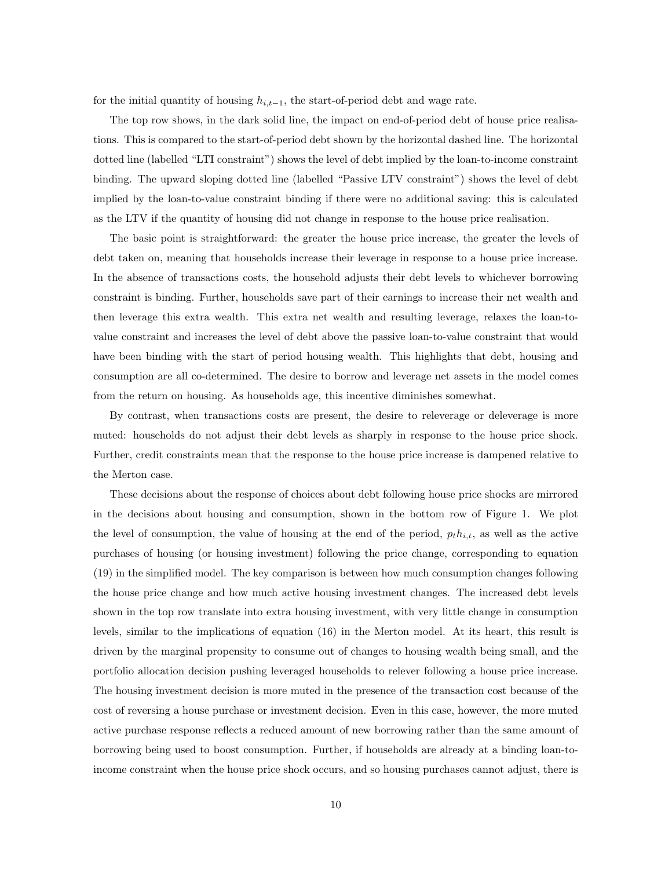for the initial quantity of housing  $h_{i,t-1}$ , the start-of-period debt and wage rate.

The top row shows, in the dark solid line, the impact on end-of-period debt of house price realisations. This is compared to the start-of-period debt shown by the horizontal dashed line. The horizontal dotted line (labelled "LTI constraint") shows the level of debt implied by the loan-to-income constraint binding. The upward sloping dotted line (labelled "Passive LTV constraint") shows the level of debt implied by the loan-to-value constraint binding if there were no additional saving: this is calculated as the LTV if the quantity of housing did not change in response to the house price realisation.

The basic point is straightforward: the greater the house price increase, the greater the levels of debt taken on, meaning that households increase their leverage in response to a house price increase. In the absence of transactions costs, the household adjusts their debt levels to whichever borrowing constraint is binding. Further, households save part of their earnings to increase their net wealth and then leverage this extra wealth. This extra net wealth and resulting leverage, relaxes the loan-tovalue constraint and increases the level of debt above the passive loan-to-value constraint that would have been binding with the start of period housing wealth. This highlights that debt, housing and consumption are all co-determined. The desire to borrow and leverage net assets in the model comes from the return on housing. As households age, this incentive diminishes somewhat.

By contrast, when transactions costs are present, the desire to releverage or deleverage is more muted: households do not adjust their debt levels as sharply in response to the house price shock. Further, credit constraints mean that the response to the house price increase is dampened relative to the Merton case.

These decisions about the response of choices about debt following house price shocks are mirrored in the decisions about housing and consumption, shown in the bottom row of Figure 1. We plot the level of consumption, the value of housing at the end of the period,  $p_t h_{i,t}$ , as well as the active purchases of housing (or housing investment) following the price change, corresponding to equation (19) in the simplified model. The key comparison is between how much consumption changes following the house price change and how much active housing investment changes. The increased debt levels shown in the top row translate into extra housing investment, with very little change in consumption levels, similar to the implications of equation (16) in the Merton model. At its heart, this result is driven by the marginal propensity to consume out of changes to housing wealth being small, and the portfolio allocation decision pushing leveraged households to relever following a house price increase. The housing investment decision is more muted in the presence of the transaction cost because of the cost of reversing a house purchase or investment decision. Even in this case, however, the more muted active purchase response reflects a reduced amount of new borrowing rather than the same amount of borrowing being used to boost consumption. Further, if households are already at a binding loan-toincome constraint when the house price shock occurs, and so housing purchases cannot adjust, there is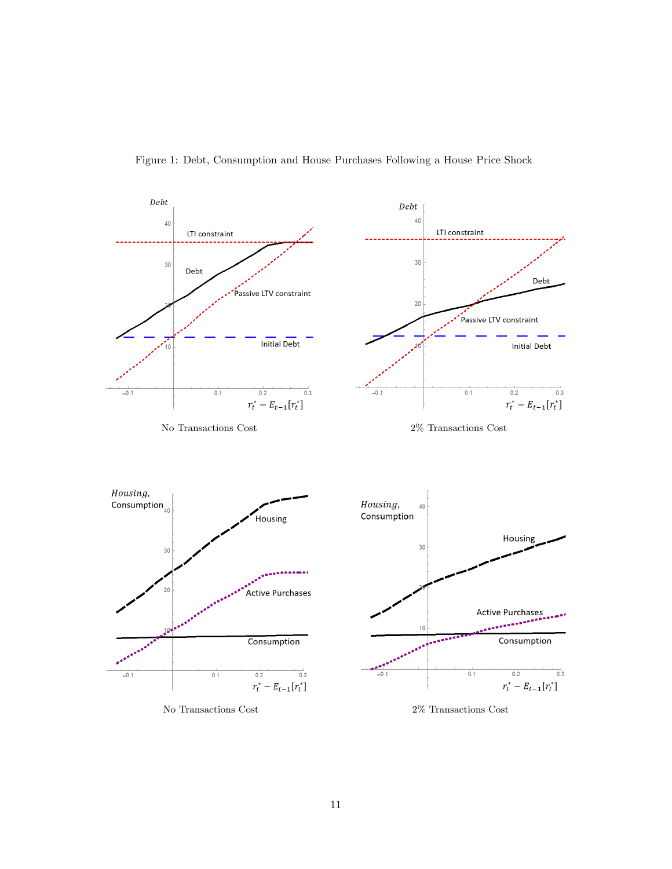

Figure 1: Debt, Consumption and House Purchases Following a House Price Shock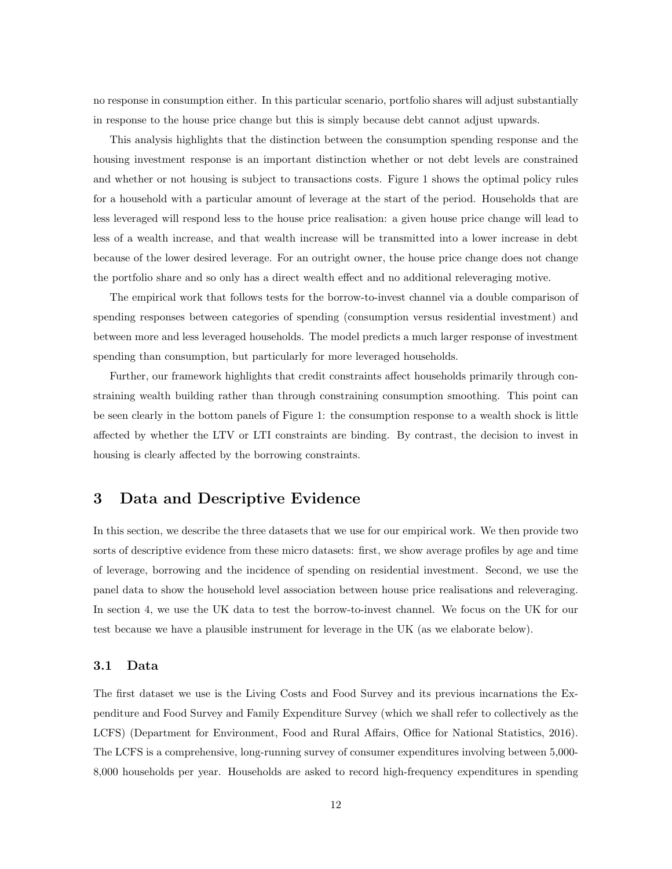no response in consumption either. In this particular scenario, portfolio shares will adjust substantially in response to the house price change but this is simply because debt cannot adjust upwards.

This analysis highlights that the distinction between the consumption spending response and the housing investment response is an important distinction whether or not debt levels are constrained and whether or not housing is subject to transactions costs. Figure 1 shows the optimal policy rules for a household with a particular amount of leverage at the start of the period. Households that are less leveraged will respond less to the house price realisation: a given house price change will lead to less of a wealth increase, and that wealth increase will be transmitted into a lower increase in debt because of the lower desired leverage. For an outright owner, the house price change does not change the portfolio share and so only has a direct wealth effect and no additional releveraging motive.

The empirical work that follows tests for the borrow-to-invest channel via a double comparison of spending responses between categories of spending (consumption versus residential investment) and between more and less leveraged households. The model predicts a much larger response of investment spending than consumption, but particularly for more leveraged households.

Further, our framework highlights that credit constraints affect households primarily through constraining wealth building rather than through constraining consumption smoothing. This point can be seen clearly in the bottom panels of Figure 1: the consumption response to a wealth shock is little affected by whether the LTV or LTI constraints are binding. By contrast, the decision to invest in housing is clearly affected by the borrowing constraints.

## 3 Data and Descriptive Evidence

In this section, we describe the three datasets that we use for our empirical work. We then provide two sorts of descriptive evidence from these micro datasets: first, we show average profiles by age and time of leverage, borrowing and the incidence of spending on residential investment. Second, we use the panel data to show the household level association between house price realisations and releveraging. In section 4, we use the UK data to test the borrow-to-invest channel. We focus on the UK for our test because we have a plausible instrument for leverage in the UK (as we elaborate below).

#### 3.1 Data

The first dataset we use is the Living Costs and Food Survey and its previous incarnations the Expenditure and Food Survey and Family Expenditure Survey (which we shall refer to collectively as the LCFS) (Department for Environment, Food and Rural Affairs, Office for National Statistics, 2016). The LCFS is a comprehensive, long-running survey of consumer expenditures involving between 5,000- 8,000 households per year. Households are asked to record high-frequency expenditures in spending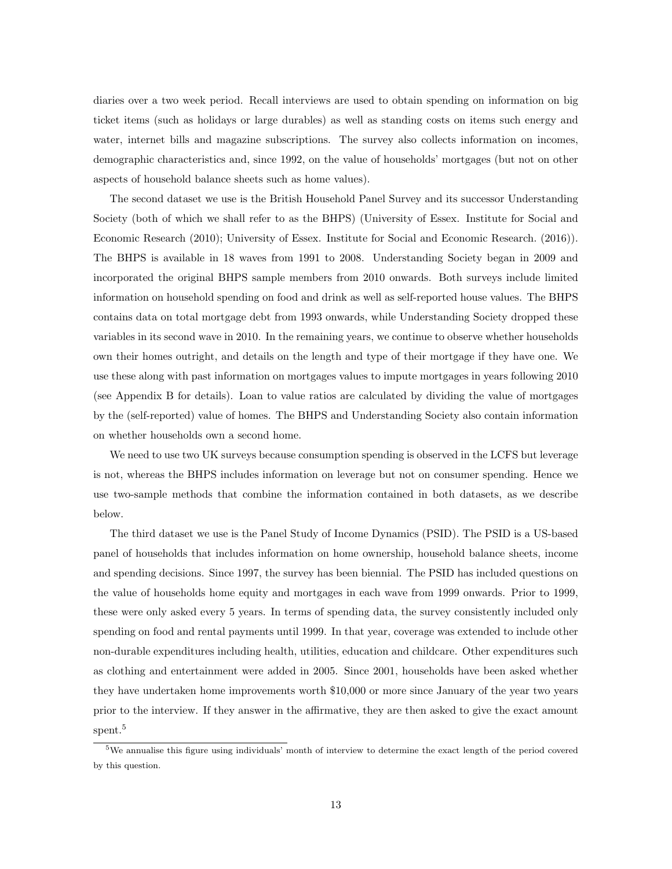diaries over a two week period. Recall interviews are used to obtain spending on information on big ticket items (such as holidays or large durables) as well as standing costs on items such energy and water, internet bills and magazine subscriptions. The survey also collects information on incomes, demographic characteristics and, since 1992, on the value of households' mortgages (but not on other aspects of household balance sheets such as home values).

The second dataset we use is the British Household Panel Survey and its successor Understanding Society (both of which we shall refer to as the BHPS) (University of Essex. Institute for Social and Economic Research (2010); University of Essex. Institute for Social and Economic Research. (2016)). The BHPS is available in 18 waves from 1991 to 2008. Understanding Society began in 2009 and incorporated the original BHPS sample members from 2010 onwards. Both surveys include limited information on household spending on food and drink as well as self-reported house values. The BHPS contains data on total mortgage debt from 1993 onwards, while Understanding Society dropped these variables in its second wave in 2010. In the remaining years, we continue to observe whether households own their homes outright, and details on the length and type of their mortgage if they have one. We use these along with past information on mortgages values to impute mortgages in years following 2010 (see Appendix B for details). Loan to value ratios are calculated by dividing the value of mortgages by the (self-reported) value of homes. The BHPS and Understanding Society also contain information on whether households own a second home.

We need to use two UK surveys because consumption spending is observed in the LCFS but leverage is not, whereas the BHPS includes information on leverage but not on consumer spending. Hence we use two-sample methods that combine the information contained in both datasets, as we describe below.

The third dataset we use is the Panel Study of Income Dynamics (PSID). The PSID is a US-based panel of households that includes information on home ownership, household balance sheets, income and spending decisions. Since 1997, the survey has been biennial. The PSID has included questions on the value of households home equity and mortgages in each wave from 1999 onwards. Prior to 1999, these were only asked every 5 years. In terms of spending data, the survey consistently included only spending on food and rental payments until 1999. In that year, coverage was extended to include other non-durable expenditures including health, utilities, education and childcare. Other expenditures such as clothing and entertainment were added in 2005. Since 2001, households have been asked whether they have undertaken home improvements worth \$10,000 or more since January of the year two years prior to the interview. If they answer in the affirmative, they are then asked to give the exact amount spent.<sup>5</sup>

<sup>5</sup>We annualise this figure using individuals' month of interview to determine the exact length of the period covered by this question.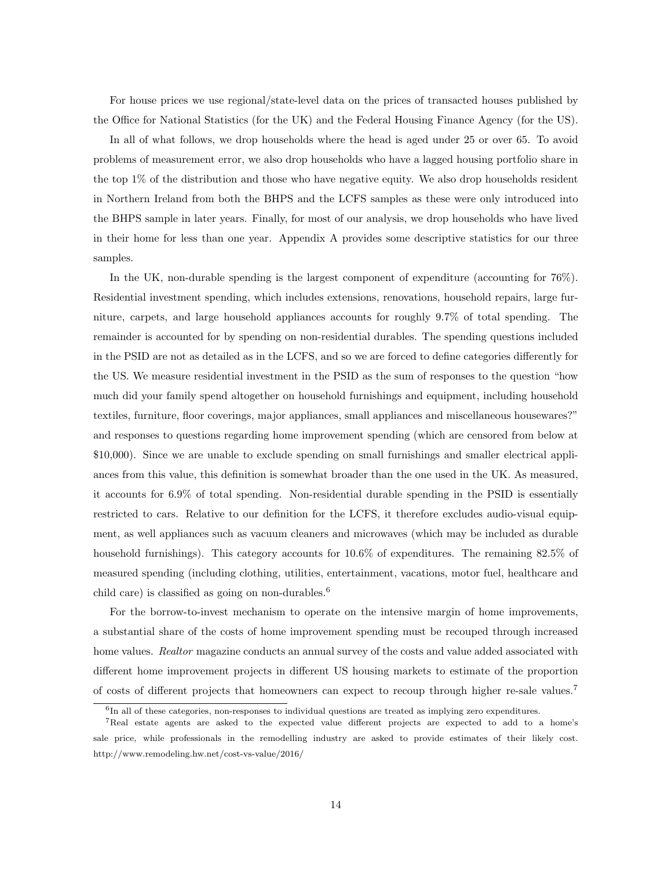For house prices we use regional/state-level data on the prices of transacted houses published by the Office for National Statistics (for the UK) and the Federal Housing Finance Agency (for the US).

In all of what follows, we drop households where the head is aged under 25 or over 65. To avoid problems of measurement error, we also drop households who have a lagged housing portfolio share in the top 1% of the distribution and those who have negative equity. We also drop households resident in Northern Ireland from both the BHPS and the LCFS samples as these were only introduced into the BHPS sample in later years. Finally, for most of our analysis, we drop households who have lived in their home for less than one year. Appendix A provides some descriptive statistics for our three samples.

In the UK, non-durable spending is the largest component of expenditure (accounting for 76%). Residential investment spending, which includes extensions, renovations, household repairs, large furniture, carpets, and large household appliances accounts for roughly 9.7% of total spending. The remainder is accounted for by spending on non-residential durables. The spending questions included in the PSID are not as detailed as in the LCFS, and so we are forced to define categories differently for the US. We measure residential investment in the PSID as the sum of responses to the question "how much did your family spend altogether on household furnishings and equipment, including household textiles, furniture, floor coverings, major appliances, small appliances and miscellaneous housewares?" and responses to questions regarding home improvement spending (which are censored from below at \$10,000). Since we are unable to exclude spending on small furnishings and smaller electrical appliances from this value, this definition is somewhat broader than the one used in the UK. As measured, it accounts for 6.9% of total spending. Non-residential durable spending in the PSID is essentially restricted to cars. Relative to our definition for the LCFS, it therefore excludes audio-visual equipment, as well appliances such as vacuum cleaners and microwaves (which may be included as durable household furnishings). This category accounts for  $10.6\%$  of expenditures. The remaining 82.5% of measured spending (including clothing, utilities, entertainment, vacations, motor fuel, healthcare and child care) is classified as going on non-durables.<sup>6</sup>

For the borrow-to-invest mechanism to operate on the intensive margin of home improvements, a substantial share of the costs of home improvement spending must be recouped through increased home values. Realtor magazine conducts an annual survey of the costs and value added associated with different home improvement projects in different US housing markets to estimate of the proportion of costs of different projects that homeowners can expect to recoup through higher re-sale values.<sup>7</sup>

<sup>&</sup>lt;sup>6</sup>In all of these categories, non-responses to individual questions are treated as implying zero expenditures.

<sup>7</sup>Real estate agents are asked to the expected value different projects are expected to add to a home's sale price, while professionals in the remodelling industry are asked to provide estimates of their likely cost. http://www.remodeling.hw.net/cost-vs-value/2016/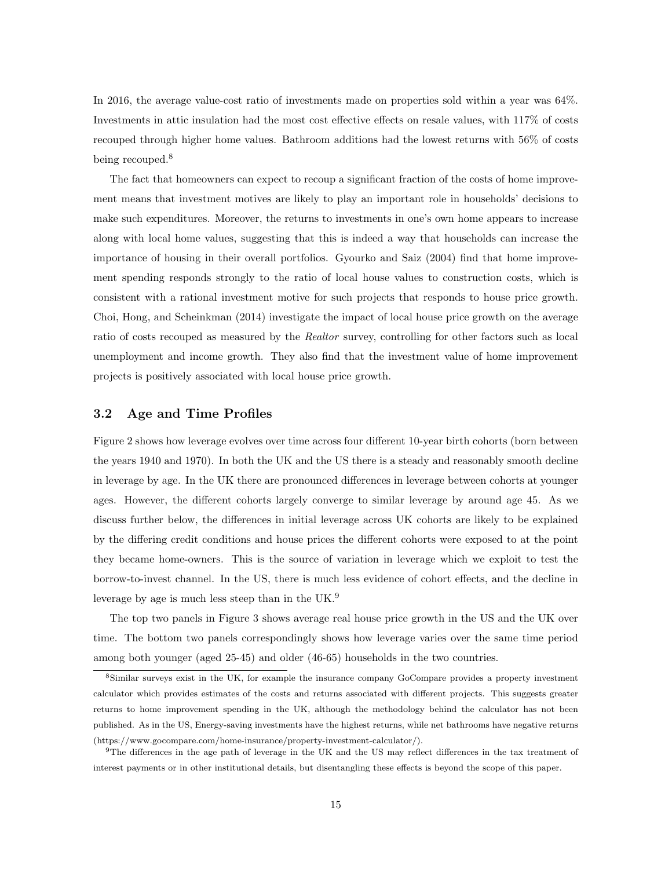In 2016, the average value-cost ratio of investments made on properties sold within a year was  $64\%$ . Investments in attic insulation had the most cost effective effects on resale values, with 117% of costs recouped through higher home values. Bathroom additions had the lowest returns with 56% of costs being recouped.<sup>8</sup>

The fact that homeowners can expect to recoup a significant fraction of the costs of home improvement means that investment motives are likely to play an important role in households' decisions to make such expenditures. Moreover, the returns to investments in one's own home appears to increase along with local home values, suggesting that this is indeed a way that households can increase the importance of housing in their overall portfolios. Gyourko and Saiz (2004) find that home improvement spending responds strongly to the ratio of local house values to construction costs, which is consistent with a rational investment motive for such projects that responds to house price growth. Choi, Hong, and Scheinkman (2014) investigate the impact of local house price growth on the average ratio of costs recouped as measured by the Realtor survey, controlling for other factors such as local unemployment and income growth. They also find that the investment value of home improvement projects is positively associated with local house price growth.

#### 3.2 Age and Time Profiles

Figure 2 shows how leverage evolves over time across four different 10-year birth cohorts (born between the years 1940 and 1970). In both the UK and the US there is a steady and reasonably smooth decline in leverage by age. In the UK there are pronounced differences in leverage between cohorts at younger ages. However, the different cohorts largely converge to similar leverage by around age 45. As we discuss further below, the differences in initial leverage across UK cohorts are likely to be explained by the differing credit conditions and house prices the different cohorts were exposed to at the point they became home-owners. This is the source of variation in leverage which we exploit to test the borrow-to-invest channel. In the US, there is much less evidence of cohort effects, and the decline in leverage by age is much less steep than in the UK.<sup>9</sup>

The top two panels in Figure 3 shows average real house price growth in the US and the UK over time. The bottom two panels correspondingly shows how leverage varies over the same time period among both younger (aged 25-45) and older (46-65) households in the two countries.

<sup>8</sup>Similar surveys exist in the UK, for example the insurance company GoCompare provides a property investment calculator which provides estimates of the costs and returns associated with different projects. This suggests greater returns to home improvement spending in the UK, although the methodology behind the calculator has not been published. As in the US, Energy-saving investments have the highest returns, while net bathrooms have negative returns (https://www.gocompare.com/home-insurance/property-investment-calculator/).

 $9$ The differences in the age path of leverage in the UK and the US may reflect differences in the tax treatment of interest payments or in other institutional details, but disentangling these effects is beyond the scope of this paper.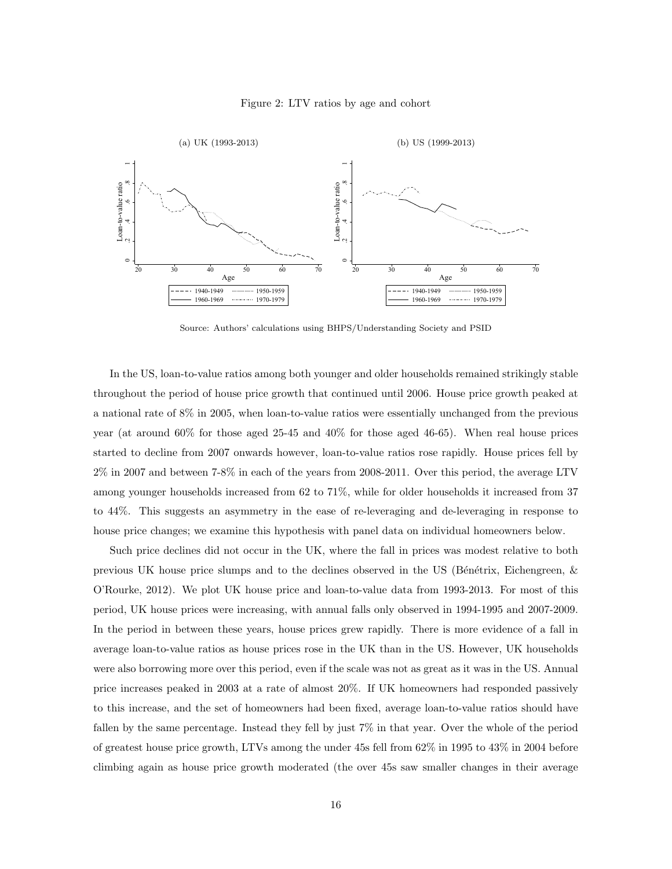#### Figure 2: LTV ratios by age and cohort



Source: Authors' calculations using BHPS/Understanding Society and PSID

In the US, loan-to-value ratios among both younger and older households remained strikingly stable throughout the period of house price growth that continued until 2006. House price growth peaked at a national rate of 8% in 2005, when loan-to-value ratios were essentially unchanged from the previous year (at around 60% for those aged 25-45 and 40% for those aged 46-65). When real house prices started to decline from 2007 onwards however, loan-to-value ratios rose rapidly. House prices fell by 2% in 2007 and between 7-8% in each of the years from 2008-2011. Over this period, the average LTV among younger households increased from 62 to 71%, while for older households it increased from 37 to 44%. This suggests an asymmetry in the ease of re-leveraging and de-leveraging in response to house price changes; we examine this hypothesis with panel data on individual homeowners below.

Such price declines did not occur in the UK, where the fall in prices was modest relative to both previous UK house price slumps and to the declines observed in the US (Bénétrix, Eichengreen,  $\&$ O'Rourke, 2012). We plot UK house price and loan-to-value data from 1993-2013. For most of this period, UK house prices were increasing, with annual falls only observed in 1994-1995 and 2007-2009. In the period in between these years, house prices grew rapidly. There is more evidence of a fall in average loan-to-value ratios as house prices rose in the UK than in the US. However, UK households were also borrowing more over this period, even if the scale was not as great as it was in the US. Annual price increases peaked in 2003 at a rate of almost 20%. If UK homeowners had responded passively to this increase, and the set of homeowners had been fixed, average loan-to-value ratios should have fallen by the same percentage. Instead they fell by just 7% in that year. Over the whole of the period of greatest house price growth, LTVs among the under 45s fell from 62% in 1995 to 43% in 2004 before climbing again as house price growth moderated (the over 45s saw smaller changes in their average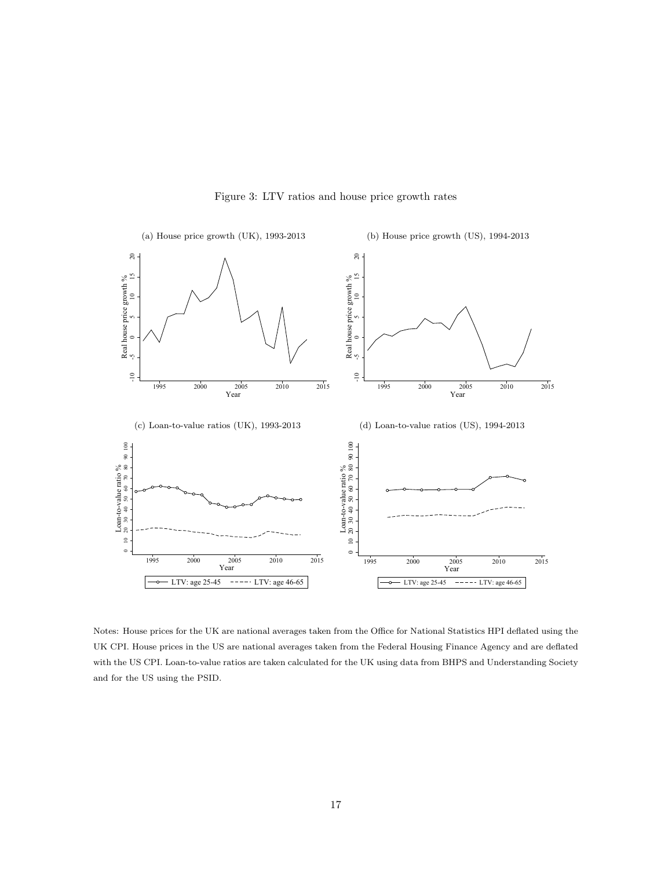

Figure 3: LTV ratios and house price growth rates

Notes: House prices for the UK are national averages taken from the Office for National Statistics HPI deflated using the UK CPI. House prices in the US are national averages taken from the Federal Housing Finance Agency and are deflated with the US CPI. Loan-to-value ratios are taken calculated for the UK using data from BHPS and Understanding Society and for the US using the PSID.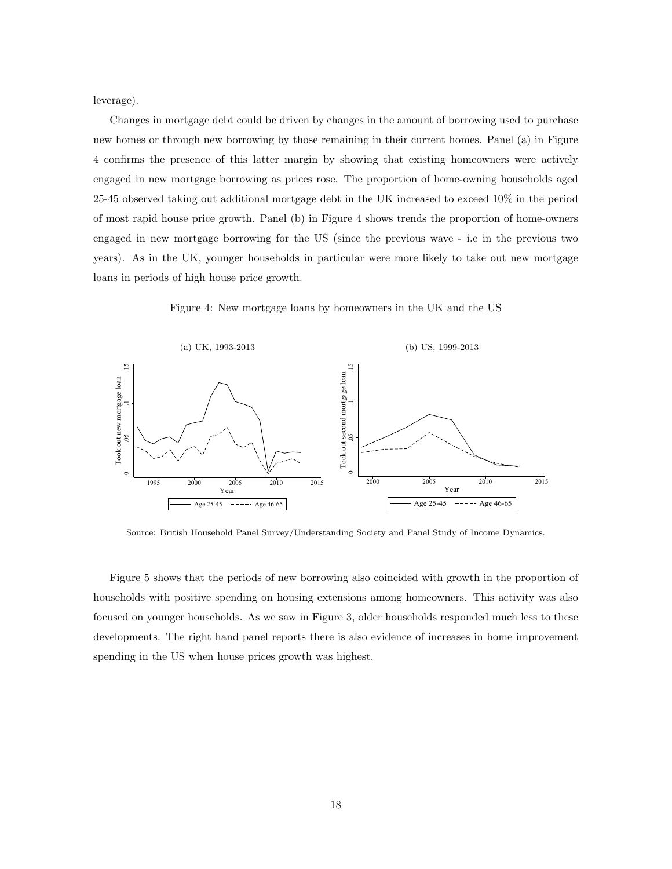leverage).

Changes in mortgage debt could be driven by changes in the amount of borrowing used to purchase new homes or through new borrowing by those remaining in their current homes. Panel (a) in Figure 4 confirms the presence of this latter margin by showing that existing homeowners were actively engaged in new mortgage borrowing as prices rose. The proportion of home-owning households aged 25-45 observed taking out additional mortgage debt in the UK increased to exceed 10% in the period of most rapid house price growth. Panel (b) in Figure 4 shows trends the proportion of home-owners engaged in new mortgage borrowing for the US (since the previous wave - i.e in the previous two years). As in the UK, younger households in particular were more likely to take out new mortgage loans in periods of high house price growth.

Figure 4: New mortgage loans by homeowners in the UK and the US



Source: British Household Panel Survey/Understanding Society and Panel Study of Income Dynamics.

Figure 5 shows that the periods of new borrowing also coincided with growth in the proportion of households with positive spending on housing extensions among homeowners. This activity was also focused on younger households. As we saw in Figure 3, older households responded much less to these developments. The right hand panel reports there is also evidence of increases in home improvement spending in the US when house prices growth was highest.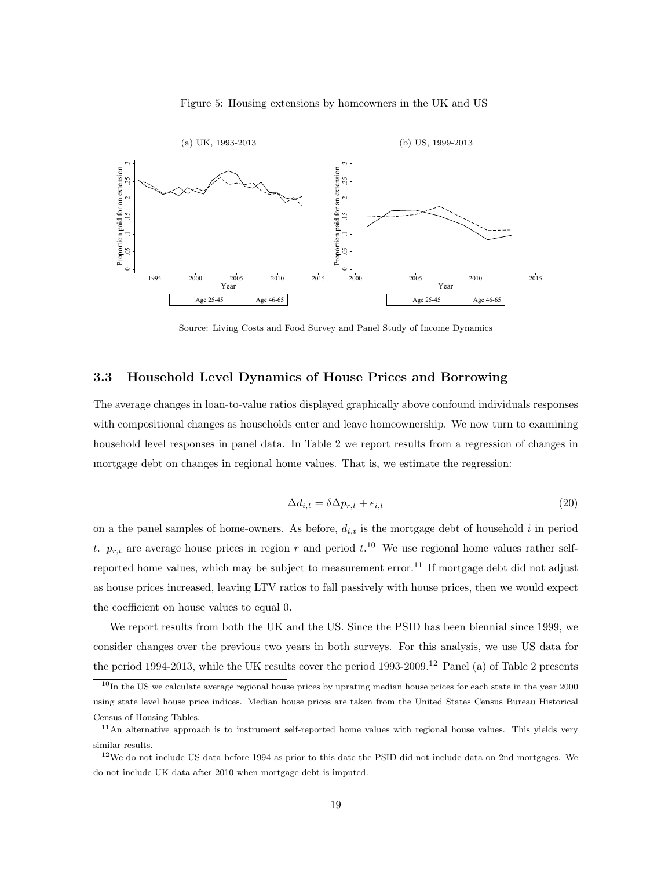



Source: Living Costs and Food Survey and Panel Study of Income Dynamics

#### 3.3 Household Level Dynamics of House Prices and Borrowing

The average changes in loan-to-value ratios displayed graphically above confound individuals responses with compositional changes as households enter and leave homeownership. We now turn to examining household level responses in panel data. In Table 2 we report results from a regression of changes in mortgage debt on changes in regional home values. That is, we estimate the regression:

$$
\Delta d_{i,t} = \delta \Delta p_{r,t} + \epsilon_{i,t} \tag{20}
$$

on a the panel samples of home-owners. As before,  $d_{i,t}$  is the mortgage debt of household i in period t.  $p_{r,t}$  are average house prices in region r and period  $t^{10}$ . We use regional home values rather selfreported home values, which may be subject to measurement error.<sup>11</sup> If mortgage debt did not adjust as house prices increased, leaving LTV ratios to fall passively with house prices, then we would expect the coefficient on house values to equal 0.

We report results from both the UK and the US. Since the PSID has been biennial since 1999, we consider changes over the previous two years in both surveys. For this analysis, we use US data for the period 1994-2013, while the UK results cover the period 1993-2009.<sup>12</sup> Panel (a) of Table 2 presents

 $10$ In the US we calculate average regional house prices by uprating median house prices for each state in the year 2000 using state level house price indices. Median house prices are taken from the United States Census Bureau Historical Census of Housing Tables.

<sup>&</sup>lt;sup>11</sup>An alternative approach is to instrument self-reported home values with regional house values. This yields very similar results.

 $12$ We do not include US data before 1994 as prior to this date the PSID did not include data on 2nd mortgages. We do not include UK data after 2010 when mortgage debt is imputed.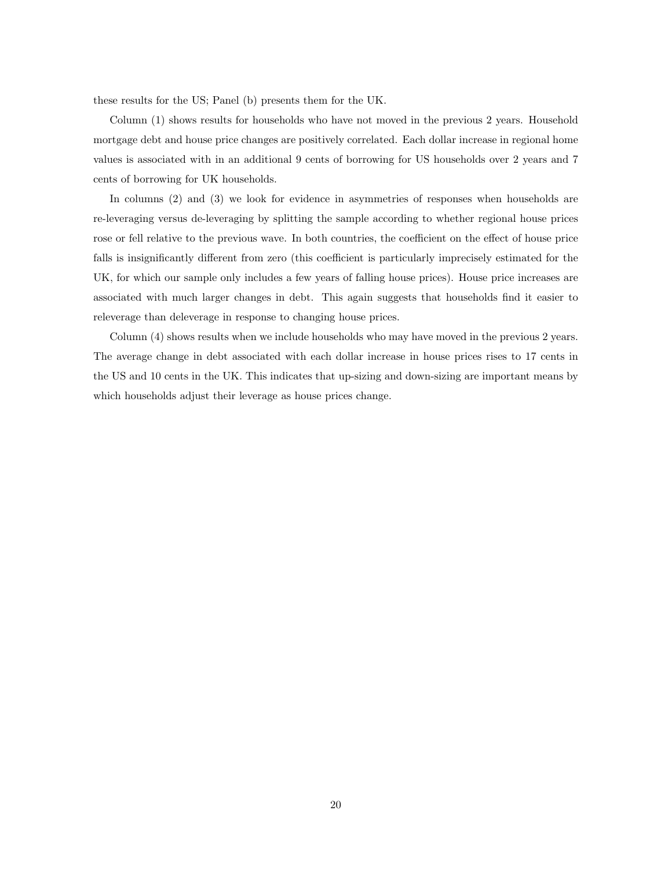these results for the US; Panel (b) presents them for the UK.

Column (1) shows results for households who have not moved in the previous 2 years. Household mortgage debt and house price changes are positively correlated. Each dollar increase in regional home values is associated with in an additional 9 cents of borrowing for US households over 2 years and 7 cents of borrowing for UK households.

In columns (2) and (3) we look for evidence in asymmetries of responses when households are re-leveraging versus de-leveraging by splitting the sample according to whether regional house prices rose or fell relative to the previous wave. In both countries, the coefficient on the effect of house price falls is insignificantly different from zero (this coefficient is particularly imprecisely estimated for the UK, for which our sample only includes a few years of falling house prices). House price increases are associated with much larger changes in debt. This again suggests that households find it easier to releverage than deleverage in response to changing house prices.

Column (4) shows results when we include households who may have moved in the previous 2 years. The average change in debt associated with each dollar increase in house prices rises to 17 cents in the US and 10 cents in the UK. This indicates that up-sizing and down-sizing are important means by which households adjust their leverage as house prices change.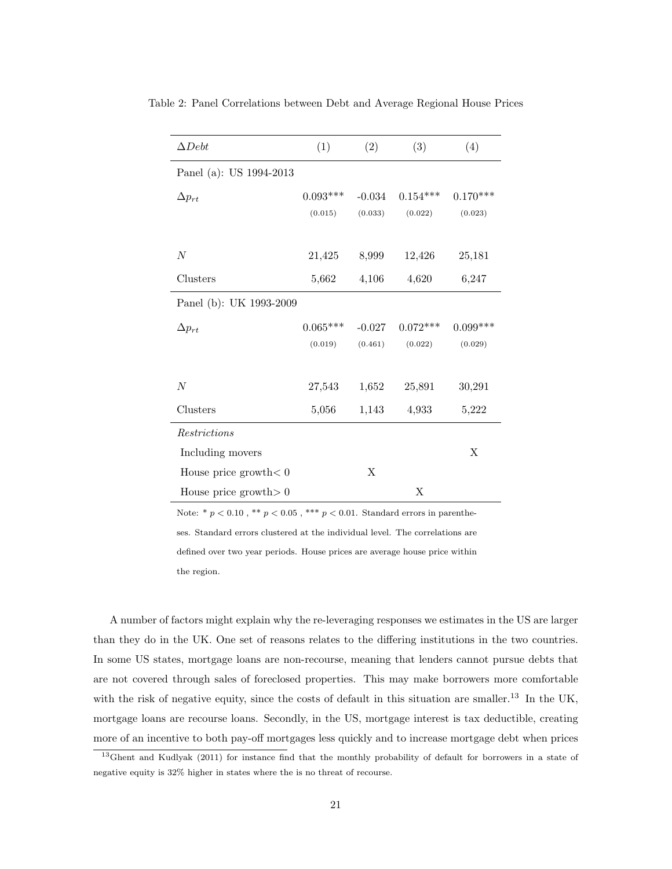| $\Delta Debt$            | (1)        | (2)      | (3)        | (4)        |
|--------------------------|------------|----------|------------|------------|
| Panel (a): US 1994-2013  |            |          |            |            |
| $\Delta p_{rt}$          | $0.093***$ | $-0.034$ | $0.154***$ | $0.170***$ |
|                          | (0.015)    | (0.033)  | (0.022)    | (0.023)    |
| N                        | 21,425     | 8,999    | 12,426     | 25,181     |
| Clusters                 | 5,662      | 4,106    | 4,620      | 6,247      |
| Panel (b): UK 1993-2009  |            |          |            |            |
| $\Delta p_{rt}$          | $0.065***$ | $-0.027$ | $0.072***$ | $0.099***$ |
|                          | (0.019)    | (0.461)  | (0.022)    | (0.029)    |
|                          |            |          |            |            |
| N                        | 27,543     | 1,652    | 25,891     | 30,291     |
| Clusters                 | 5,056      | 1,143    | 4,933      | 5,222      |
| Restrictions             |            |          |            |            |
| Including movers         |            |          |            | X          |
| House price growth $< 0$ |            | X        |            |            |
| House price growth $> 0$ |            |          | X          |            |

Table 2: Panel Correlations between Debt and Average Regional House Prices

Note: \* $p < 0.10$  , \*\*  $p < 0.05$  , \*\*\*  $p < 0.01.$  Standard errors in parentheses. Standard errors clustered at the individual level. The correlations are defined over two year periods. House prices are average house price within the region.

A number of factors might explain why the re-leveraging responses we estimates in the US are larger than they do in the UK. One set of reasons relates to the differing institutions in the two countries. In some US states, mortgage loans are non-recourse, meaning that lenders cannot pursue debts that are not covered through sales of foreclosed properties. This may make borrowers more comfortable with the risk of negative equity, since the costs of default in this situation are smaller.<sup>13</sup> In the UK, mortgage loans are recourse loans. Secondly, in the US, mortgage interest is tax deductible, creating more of an incentive to both pay-off mortgages less quickly and to increase mortgage debt when prices

<sup>13</sup>Ghent and Kudlyak (2011) for instance find that the monthly probability of default for borrowers in a state of negative equity is 32% higher in states where the is no threat of recourse.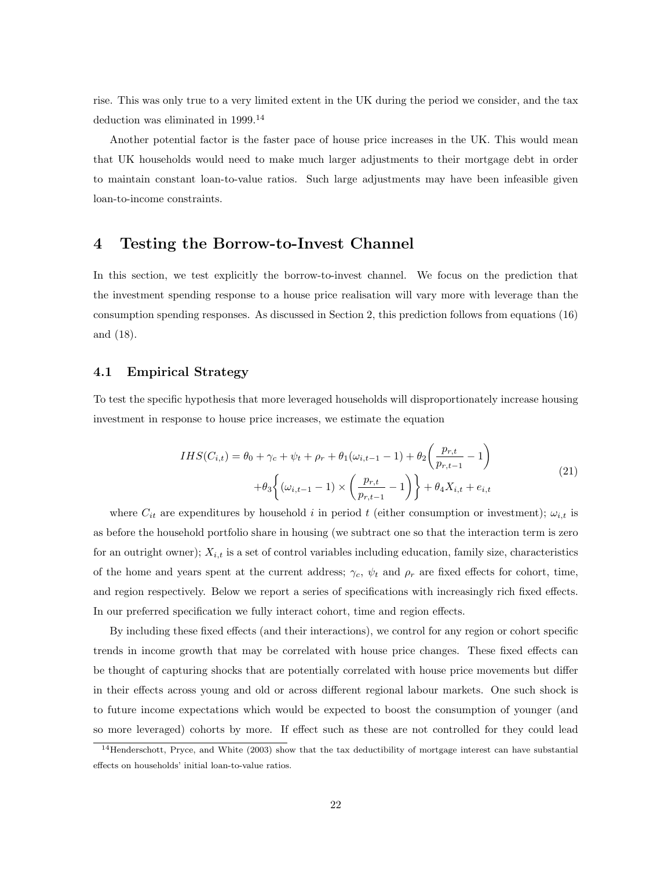rise. This was only true to a very limited extent in the UK during the period we consider, and the tax deduction was eliminated in 1999.<sup>14</sup>

Another potential factor is the faster pace of house price increases in the UK. This would mean that UK households would need to make much larger adjustments to their mortgage debt in order to maintain constant loan-to-value ratios. Such large adjustments may have been infeasible given loan-to-income constraints.

## 4 Testing the Borrow-to-Invest Channel

In this section, we test explicitly the borrow-to-invest channel. We focus on the prediction that the investment spending response to a house price realisation will vary more with leverage than the consumption spending responses. As discussed in Section 2, this prediction follows from equations (16) and (18).

#### 4.1 Empirical Strategy

To test the specific hypothesis that more leveraged households will disproportionately increase housing investment in response to house price increases, we estimate the equation

$$
IHS(C_{i,t}) = \theta_0 + \gamma_c + \psi_t + \rho_r + \theta_1(\omega_{i,t-1} - 1) + \theta_2\left(\frac{p_{r,t}}{p_{r,t-1}} - 1\right) + \theta_3\left\{(\omega_{i,t-1} - 1) \times \left(\frac{p_{r,t}}{p_{r,t-1}} - 1\right)\right\} + \theta_4 X_{i,t} + e_{i,t}
$$
\n(21)

where  $C_{it}$  are expenditures by household i in period t (either consumption or investment);  $\omega_{i,t}$  is as before the household portfolio share in housing (we subtract one so that the interaction term is zero for an outright owner);  $X_{i,t}$  is a set of control variables including education, family size, characteristics of the home and years spent at the current address;  $\gamma_c$ ,  $\psi_t$  and  $\rho_r$  are fixed effects for cohort, time, and region respectively. Below we report a series of specifications with increasingly rich fixed effects. In our preferred specification we fully interact cohort, time and region effects.

By including these fixed effects (and their interactions), we control for any region or cohort specific trends in income growth that may be correlated with house price changes. These fixed effects can be thought of capturing shocks that are potentially correlated with house price movements but differ in their effects across young and old or across different regional labour markets. One such shock is to future income expectations which would be expected to boost the consumption of younger (and so more leveraged) cohorts by more. If effect such as these are not controlled for they could lead

 $14$ Henderschott, Pryce, and White (2003) show that the tax deductibility of mortgage interest can have substantial effects on households' initial loan-to-value ratios.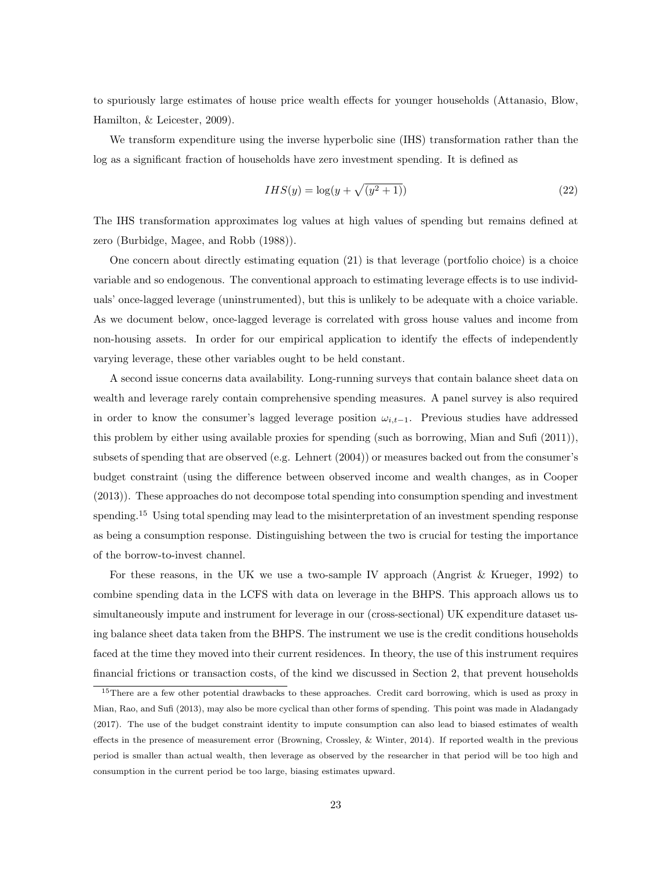to spuriously large estimates of house price wealth effects for younger households (Attanasio, Blow, Hamilton, & Leicester, 2009).

We transform expenditure using the inverse hyperbolic sine (IHS) transformation rather than the log as a significant fraction of households have zero investment spending. It is defined as

$$
IHS(y) = \log(y + \sqrt{(y^2 + 1)})
$$
\n(22)

The IHS transformation approximates log values at high values of spending but remains defined at zero (Burbidge, Magee, and Robb (1988)).

One concern about directly estimating equation (21) is that leverage (portfolio choice) is a choice variable and so endogenous. The conventional approach to estimating leverage effects is to use individuals' once-lagged leverage (uninstrumented), but this is unlikely to be adequate with a choice variable. As we document below, once-lagged leverage is correlated with gross house values and income from non-housing assets. In order for our empirical application to identify the effects of independently varying leverage, these other variables ought to be held constant.

A second issue concerns data availability. Long-running surveys that contain balance sheet data on wealth and leverage rarely contain comprehensive spending measures. A panel survey is also required in order to know the consumer's lagged leverage position  $\omega_{i,t-1}$ . Previous studies have addressed this problem by either using available proxies for spending (such as borrowing, Mian and Sufi (2011)), subsets of spending that are observed (e.g. Lehnert (2004)) or measures backed out from the consumer's budget constraint (using the difference between observed income and wealth changes, as in Cooper (2013)). These approaches do not decompose total spending into consumption spending and investment spending.<sup>15</sup> Using total spending may lead to the misinterpretation of an investment spending response as being a consumption response. Distinguishing between the two is crucial for testing the importance of the borrow-to-invest channel.

For these reasons, in the UK we use a two-sample IV approach (Angrist & Krueger, 1992) to combine spending data in the LCFS with data on leverage in the BHPS. This approach allows us to simultaneously impute and instrument for leverage in our (cross-sectional) UK expenditure dataset using balance sheet data taken from the BHPS. The instrument we use is the credit conditions households faced at the time they moved into their current residences. In theory, the use of this instrument requires financial frictions or transaction costs, of the kind we discussed in Section 2, that prevent households

<sup>&</sup>lt;sup>15</sup>There are a few other potential drawbacks to these approaches. Credit card borrowing, which is used as proxy in Mian, Rao, and Sufi (2013), may also be more cyclical than other forms of spending. This point was made in Aladangady (2017). The use of the budget constraint identity to impute consumption can also lead to biased estimates of wealth effects in the presence of measurement error (Browning, Crossley, & Winter, 2014). If reported wealth in the previous period is smaller than actual wealth, then leverage as observed by the researcher in that period will be too high and consumption in the current period be too large, biasing estimates upward.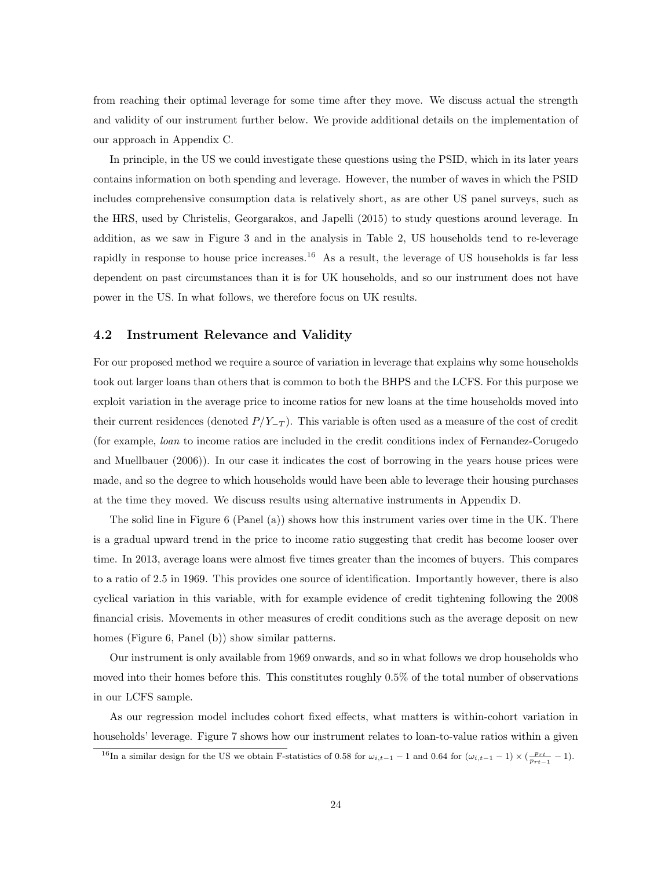from reaching their optimal leverage for some time after they move. We discuss actual the strength and validity of our instrument further below. We provide additional details on the implementation of our approach in Appendix C.

In principle, in the US we could investigate these questions using the PSID, which in its later years contains information on both spending and leverage. However, the number of waves in which the PSID includes comprehensive consumption data is relatively short, as are other US panel surveys, such as the HRS, used by Christelis, Georgarakos, and Japelli (2015) to study questions around leverage. In addition, as we saw in Figure 3 and in the analysis in Table 2, US households tend to re-leverage rapidly in response to house price increases.<sup>16</sup> As a result, the leverage of US households is far less dependent on past circumstances than it is for UK households, and so our instrument does not have power in the US. In what follows, we therefore focus on UK results.

#### 4.2 Instrument Relevance and Validity

For our proposed method we require a source of variation in leverage that explains why some households took out larger loans than others that is common to both the BHPS and the LCFS. For this purpose we exploit variation in the average price to income ratios for new loans at the time households moved into their current residences (denoted  $P/Y_{-T}$ ). This variable is often used as a measure of the cost of credit (for example, loan to income ratios are included in the credit conditions index of Fernandez-Corugedo and Muellbauer (2006)). In our case it indicates the cost of borrowing in the years house prices were made, and so the degree to which households would have been able to leverage their housing purchases at the time they moved. We discuss results using alternative instruments in Appendix D.

The solid line in Figure 6 (Panel (a)) shows how this instrument varies over time in the UK. There is a gradual upward trend in the price to income ratio suggesting that credit has become looser over time. In 2013, average loans were almost five times greater than the incomes of buyers. This compares to a ratio of 2.5 in 1969. This provides one source of identification. Importantly however, there is also cyclical variation in this variable, with for example evidence of credit tightening following the 2008 financial crisis. Movements in other measures of credit conditions such as the average deposit on new homes (Figure 6, Panel (b)) show similar patterns.

Our instrument is only available from 1969 onwards, and so in what follows we drop households who moved into their homes before this. This constitutes roughly 0.5% of the total number of observations in our LCFS sample.

As our regression model includes cohort fixed effects, what matters is within-cohort variation in households' leverage. Figure 7 shows how our instrument relates to loan-to-value ratios within a given

<sup>&</sup>lt;sup>16</sup>In a similar design for the US we obtain F-statistics of 0.58 for  $\omega_{i,t-1} - 1$  and 0.64 for  $(\omega_{i,t-1} - 1) \times (\frac{p_{rt}}{p_{rt-1}} - 1)$ .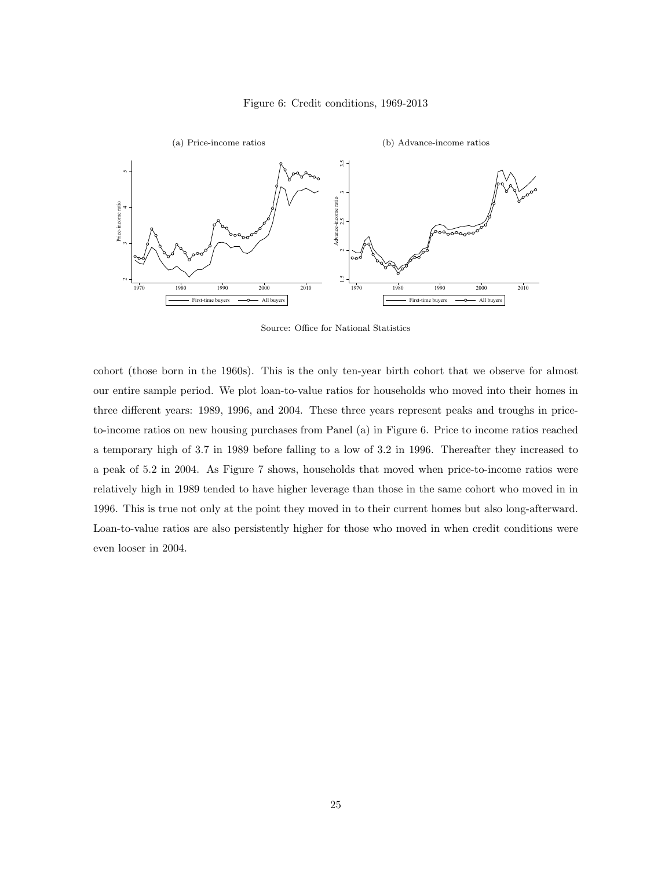



Source: Office for National Statistics

cohort (those born in the 1960s). This is the only ten-year birth cohort that we observe for almost our entire sample period. We plot loan-to-value ratios for households who moved into their homes in three different years: 1989, 1996, and 2004. These three years represent peaks and troughs in priceto-income ratios on new housing purchases from Panel (a) in Figure 6. Price to income ratios reached a temporary high of 3.7 in 1989 before falling to a low of 3.2 in 1996. Thereafter they increased to a peak of 5.2 in 2004. As Figure 7 shows, households that moved when price-to-income ratios were relatively high in 1989 tended to have higher leverage than those in the same cohort who moved in in 1996. This is true not only at the point they moved in to their current homes but also long-afterward. Loan-to-value ratios are also persistently higher for those who moved in when credit conditions were even looser in 2004.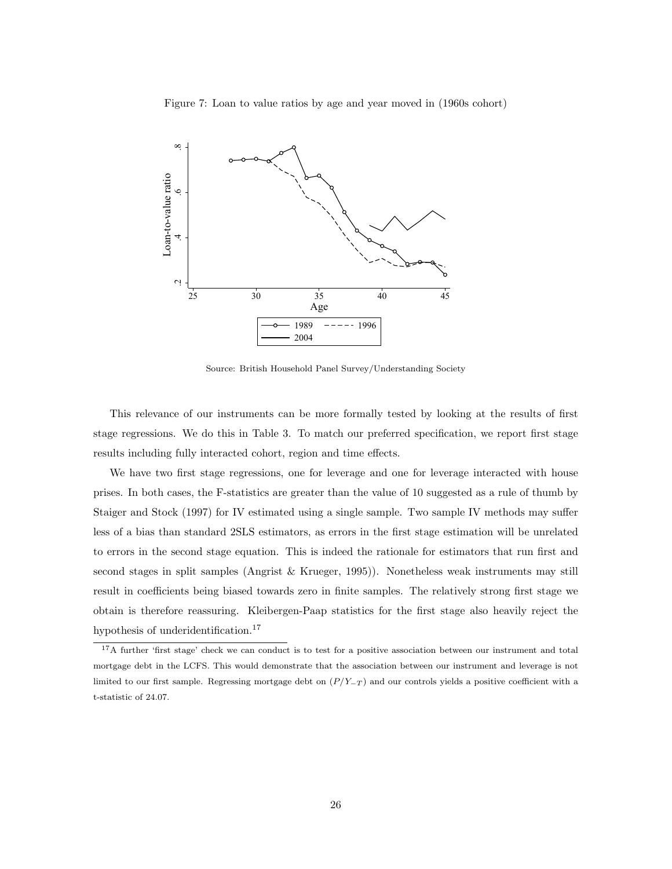Figure 7: Loan to value ratios by age and year moved in (1960s cohort)



Source: British Household Panel Survey/Understanding Society

This relevance of our instruments can be more formally tested by looking at the results of first stage regressions. We do this in Table 3. To match our preferred specification, we report first stage results including fully interacted cohort, region and time effects.

We have two first stage regressions, one for leverage and one for leverage interacted with house prises. In both cases, the F-statistics are greater than the value of 10 suggested as a rule of thumb by Staiger and Stock (1997) for IV estimated using a single sample. Two sample IV methods may suffer less of a bias than standard 2SLS estimators, as errors in the first stage estimation will be unrelated to errors in the second stage equation. This is indeed the rationale for estimators that run first and second stages in split samples (Angrist & Krueger, 1995)). Nonetheless weak instruments may still result in coefficients being biased towards zero in finite samples. The relatively strong first stage we obtain is therefore reassuring. Kleibergen-Paap statistics for the first stage also heavily reject the hypothesis of underidentification.<sup>17</sup>

<sup>&</sup>lt;sup>17</sup>A further 'first stage' check we can conduct is to test for a positive association between our instrument and total mortgage debt in the LCFS. This would demonstrate that the association between our instrument and leverage is not limited to our first sample. Regressing mortgage debt on  $(P/Y_{-T})$  and our controls yields a positive coefficient with a t-statistic of 24.07.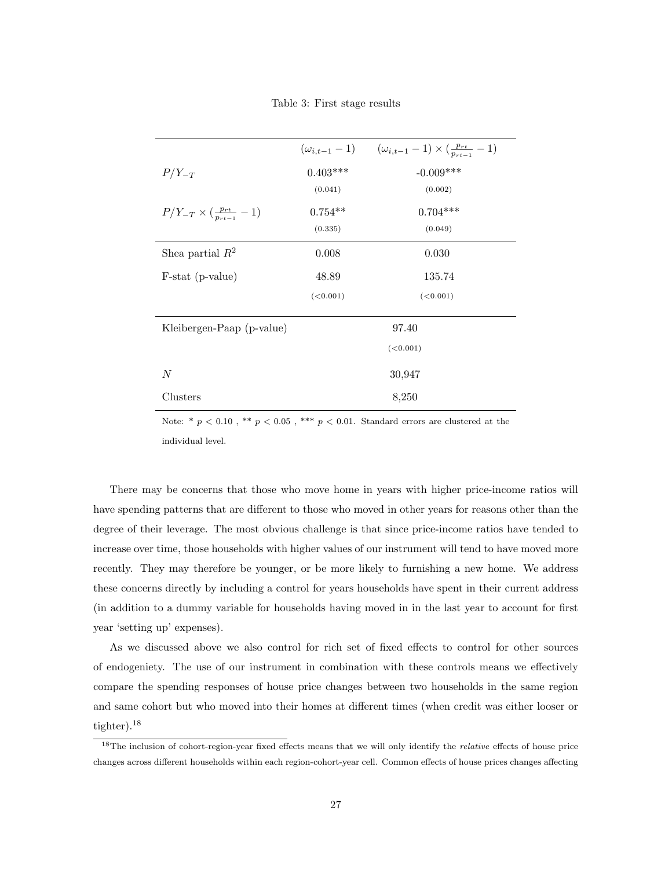|                                               |            | $(\omega_{i,t-1} - 1)$ $(\omega_{i,t-1} - 1) \times (\frac{p_{rt}}{p_{rt-1}} - 1)$ |  |  |  |
|-----------------------------------------------|------------|------------------------------------------------------------------------------------|--|--|--|
| $P/Y_{-T}$                                    | $0.403***$ | $-0.009***$                                                                        |  |  |  |
|                                               | (0.041)    | (0.002)                                                                            |  |  |  |
| $P/Y_{-T} \times (\frac{p_{rt}}{p_{rt-1}}-1)$ | $0.754**$  | $0.704***$                                                                         |  |  |  |
|                                               | (0.335)    | (0.049)                                                                            |  |  |  |
| Shea partial $R^2$                            | 0.008      | 0.030                                                                              |  |  |  |
| F-stat (p-value)                              | 48.89      | 135.74                                                                             |  |  |  |
|                                               | (<0.001)   | (<0.001)                                                                           |  |  |  |
|                                               |            |                                                                                    |  |  |  |
| Kleibergen-Paap (p-value)                     |            | 97.40                                                                              |  |  |  |
|                                               |            | (<0.001)                                                                           |  |  |  |
| $\boldsymbol{N}$                              |            | 30,947                                                                             |  |  |  |
|                                               |            |                                                                                    |  |  |  |
| Clusters                                      |            | 8,250                                                                              |  |  |  |

Note: \* $p < 0.10$  , \*\*  $p < 0.05$  , \*\*\*  $p < 0.01$  . Standard errors are clustered at the individual level.

There may be concerns that those who move home in years with higher price-income ratios will have spending patterns that are different to those who moved in other years for reasons other than the degree of their leverage. The most obvious challenge is that since price-income ratios have tended to increase over time, those households with higher values of our instrument will tend to have moved more recently. They may therefore be younger, or be more likely to furnishing a new home. We address these concerns directly by including a control for years households have spent in their current address (in addition to a dummy variable for households having moved in in the last year to account for first year 'setting up' expenses).

As we discussed above we also control for rich set of fixed effects to control for other sources of endogeniety. The use of our instrument in combination with these controls means we effectively compare the spending responses of house price changes between two households in the same region and same cohort but who moved into their homes at different times (when credit was either looser or tighter).<sup>18</sup>

<sup>&</sup>lt;sup>18</sup>The inclusion of cohort-region-year fixed effects means that we will only identify the *relative* effects of house price changes across different households within each region-cohort-year cell. Common effects of house prices changes affecting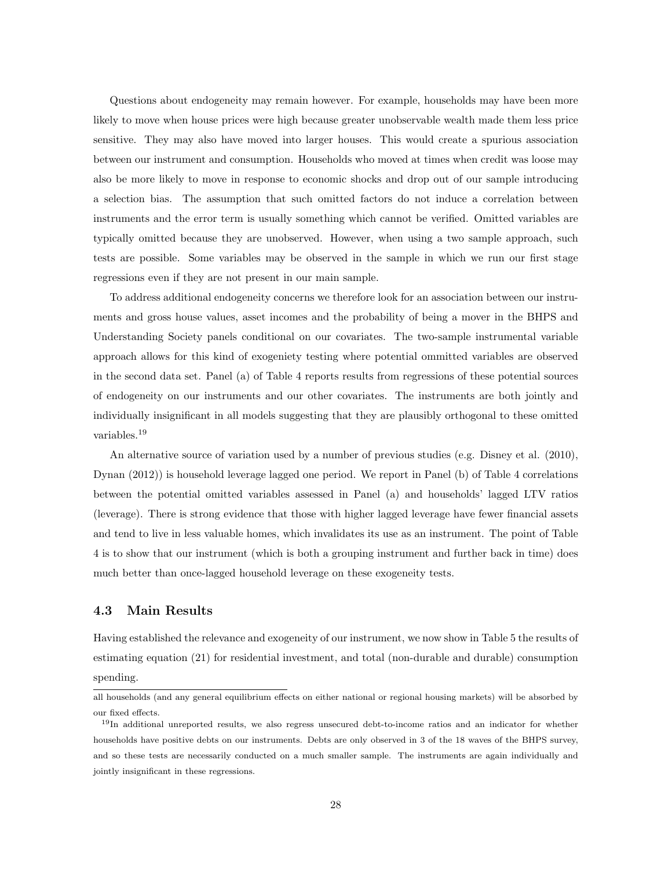Questions about endogeneity may remain however. For example, households may have been more likely to move when house prices were high because greater unobservable wealth made them less price sensitive. They may also have moved into larger houses. This would create a spurious association between our instrument and consumption. Households who moved at times when credit was loose may also be more likely to move in response to economic shocks and drop out of our sample introducing a selection bias. The assumption that such omitted factors do not induce a correlation between instruments and the error term is usually something which cannot be verified. Omitted variables are typically omitted because they are unobserved. However, when using a two sample approach, such tests are possible. Some variables may be observed in the sample in which we run our first stage regressions even if they are not present in our main sample.

To address additional endogeneity concerns we therefore look for an association between our instruments and gross house values, asset incomes and the probability of being a mover in the BHPS and Understanding Society panels conditional on our covariates. The two-sample instrumental variable approach allows for this kind of exogeniety testing where potential ommitted variables are observed in the second data set. Panel (a) of Table 4 reports results from regressions of these potential sources of endogeneity on our instruments and our other covariates. The instruments are both jointly and individually insignificant in all models suggesting that they are plausibly orthogonal to these omitted variables.<sup>19</sup>

An alternative source of variation used by a number of previous studies (e.g. Disney et al. (2010), Dynan (2012)) is household leverage lagged one period. We report in Panel (b) of Table 4 correlations between the potential omitted variables assessed in Panel (a) and households' lagged LTV ratios (leverage). There is strong evidence that those with higher lagged leverage have fewer financial assets and tend to live in less valuable homes, which invalidates its use as an instrument. The point of Table 4 is to show that our instrument (which is both a grouping instrument and further back in time) does much better than once-lagged household leverage on these exogeneity tests.

#### 4.3 Main Results

Having established the relevance and exogeneity of our instrument, we now show in Table 5 the results of estimating equation (21) for residential investment, and total (non-durable and durable) consumption spending.

all households (and any general equilibrium effects on either national or regional housing markets) will be absorbed by our fixed effects.

<sup>&</sup>lt;sup>19</sup>In additional unreported results, we also regress unsecured debt-to-income ratios and an indicator for whether households have positive debts on our instruments. Debts are only observed in 3 of the 18 waves of the BHPS survey, and so these tests are necessarily conducted on a much smaller sample. The instruments are again individually and jointly insignificant in these regressions.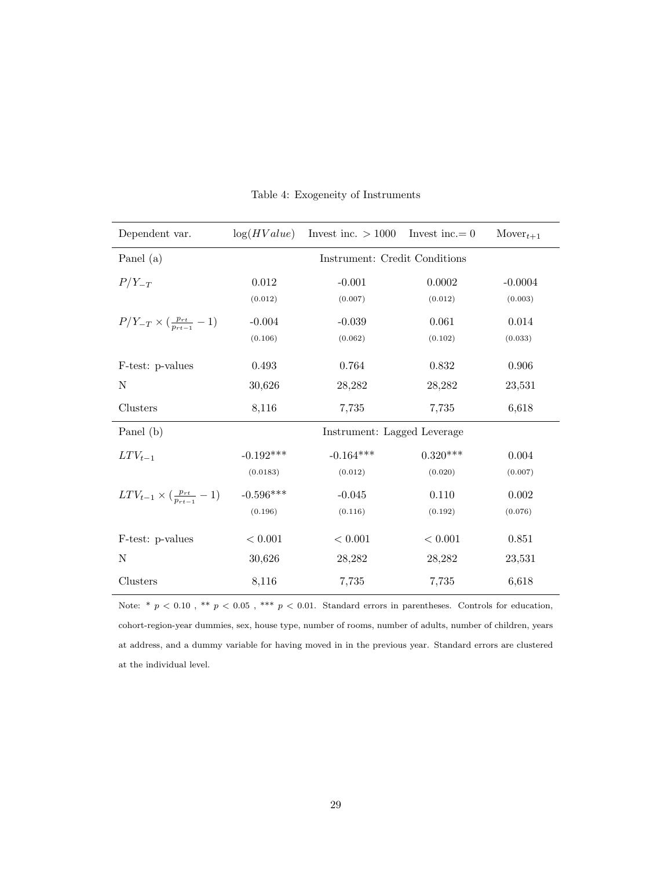| Dependent var.                                   | log(HValue)                   | Invest inc. $> 1000$        | Invest inc. $= 0$ | $Mover_{t+1}$ |  |  |  |
|--------------------------------------------------|-------------------------------|-----------------------------|-------------------|---------------|--|--|--|
| Panel (a)                                        | Instrument: Credit Conditions |                             |                   |               |  |  |  |
| $P/Y_{-T}$                                       | 0.012                         | $-0.001$                    | 0.0002            | $-0.0004$     |  |  |  |
|                                                  | (0.012)                       | (0.007)                     | (0.012)           | (0.003)       |  |  |  |
| $P/Y_{-T} \times (\frac{p_{rt}}{p_{rt-1}} - 1)$  | $-0.004$                      | $-0.039$                    | 0.061             | 0.014         |  |  |  |
|                                                  | (0.106)                       | (0.062)                     | (0.102)           | (0.033)       |  |  |  |
| F-test: p-values                                 | 0.493                         | 0.764                       | 0.832             | 0.906         |  |  |  |
| N                                                | 30,626                        | 28,282                      | 28,282            | 23,531        |  |  |  |
| Clusters                                         | 8,116                         | 7,735                       | 7,735             | 6,618         |  |  |  |
| Panel (b)                                        |                               | Instrument: Lagged Leverage |                   |               |  |  |  |
| $LTV_{t-1}$                                      | $-0.192***$                   | $-0.164***$                 | $0.320***$        | 0.004         |  |  |  |
|                                                  | (0.0183)                      | (0.012)                     | (0.020)           | (0.007)       |  |  |  |
| $LTV_{t-1} \times (\frac{p_{rt}}{p_{rt-1}} - 1)$ | $-0.596***$                   | $-0.045$                    | 0.110             | 0.002         |  |  |  |
|                                                  | (0.196)                       | (0.116)                     | (0.192)           | (0.076)       |  |  |  |
| F-test: p-values                                 | < 0.001                       | $< 0.001\,$                 | < 0.001           | 0.851         |  |  |  |
| N                                                | 30,626                        | 28,282                      | 28,282            | 23,531        |  |  |  |
| Clusters                                         | 8,116                         | 7,735                       | 7,735             | 6,618         |  |  |  |

Table 4: Exogeneity of Instruments

Note:  $*$   $p$  < 0.10,  $**$   $p$  < 0.05,  $***$   $p$  < 0.01. Standard errors in parentheses. Controls for education, cohort-region-year dummies, sex, house type, number of rooms, number of adults, number of children, years at address, and a dummy variable for having moved in in the previous year. Standard errors are clustered at the individual level.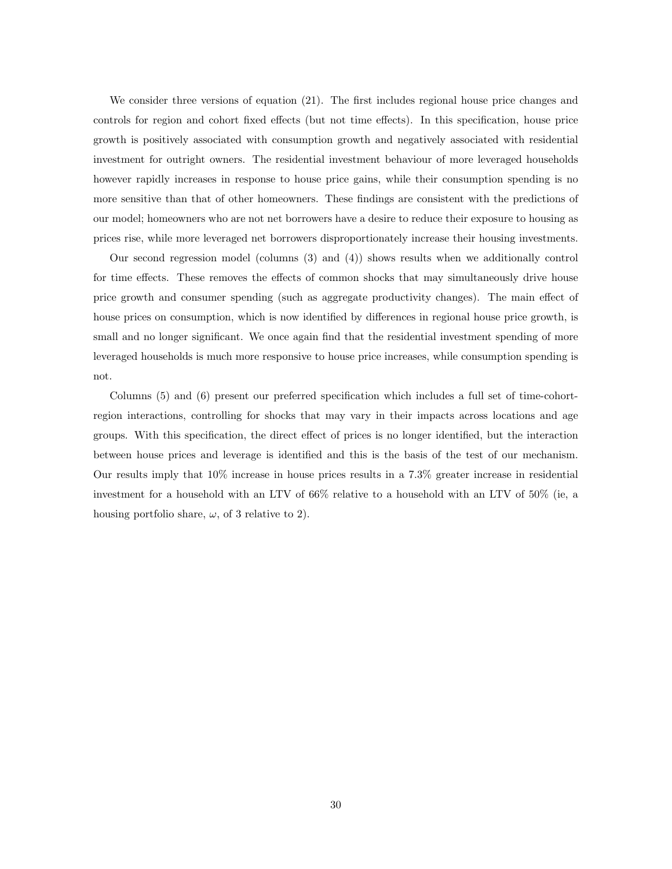We consider three versions of equation (21). The first includes regional house price changes and controls for region and cohort fixed effects (but not time effects). In this specification, house price growth is positively associated with consumption growth and negatively associated with residential investment for outright owners. The residential investment behaviour of more leveraged households however rapidly increases in response to house price gains, while their consumption spending is no more sensitive than that of other homeowners. These findings are consistent with the predictions of our model; homeowners who are not net borrowers have a desire to reduce their exposure to housing as prices rise, while more leveraged net borrowers disproportionately increase their housing investments.

Our second regression model (columns (3) and (4)) shows results when we additionally control for time effects. These removes the effects of common shocks that may simultaneously drive house price growth and consumer spending (such as aggregate productivity changes). The main effect of house prices on consumption, which is now identified by differences in regional house price growth, is small and no longer significant. We once again find that the residential investment spending of more leveraged households is much more responsive to house price increases, while consumption spending is not.

Columns (5) and (6) present our preferred specification which includes a full set of time-cohortregion interactions, controlling for shocks that may vary in their impacts across locations and age groups. With this specification, the direct effect of prices is no longer identified, but the interaction between house prices and leverage is identified and this is the basis of the test of our mechanism. Our results imply that 10% increase in house prices results in a 7.3% greater increase in residential investment for a household with an LTV of 66% relative to a household with an LTV of 50% (ie, a housing portfolio share,  $\omega$ , of 3 relative to 2).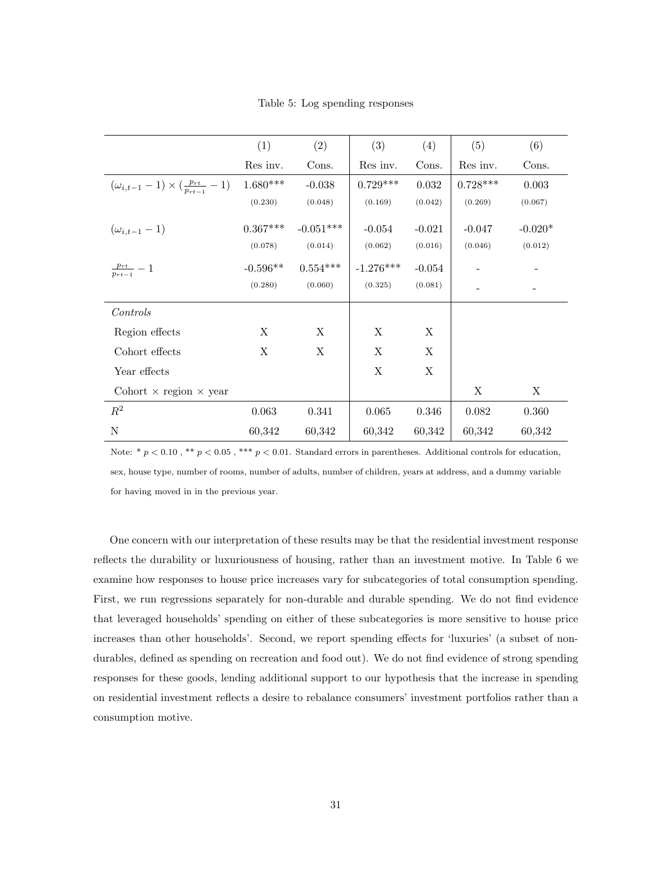Table 5: Log spending responses

|                                                             | (1)        | (2)         | (3)         | (4)      | (5)         | (6)       |
|-------------------------------------------------------------|------------|-------------|-------------|----------|-------------|-----------|
|                                                             | Res inv.   | Cons.       | Res inv.    | Cons.    | Res inv.    | Cons.     |
| $(\omega_{i,t-1} - 1) \times (\frac{p_{rt}}{p_{rt-1}} - 1)$ | $1.680***$ | $-0.038$    | $0.729***$  | 0.032    | $0.728***$  | 0.003     |
|                                                             | (0.230)    | (0.048)     | (0.169)     | (0.042)  | (0.269)     | (0.067)   |
| $(\omega_{i,t-1}-1)$                                        | $0.367***$ | $-0.051***$ | $-0.054$    | $-0.021$ | $-0.047$    | $-0.020*$ |
|                                                             | (0.078)    | (0.014)     | (0.062)     | (0.016)  | (0.046)     | (0.012)   |
| $\frac{p_{rt}}{p_{rt-1}} - 1$                               | $-0.596**$ | $0.554***$  | $-1.276***$ | $-0.054$ |             |           |
|                                                             | (0.280)    | (0.060)     | (0.325)     | (0.081)  |             |           |
| Controls                                                    |            |             |             |          |             |           |
| Region effects                                              | X          | X           | Χ           | X        |             |           |
| Cohort effects                                              | Χ          | X           | Χ           | X        |             |           |
| Year effects                                                |            |             | $\mathbf X$ | X        |             |           |
| Cohort $\times$ region $\times$ year                        |            |             |             |          | X           | X         |
| $R^2$                                                       | 0.063      | $0.341\,$   | 0.065       | 0.346    | $\,0.082\,$ | 0.360     |
| N                                                           | 60,342     | 60,342      | 60,342      | 60,342   | 60,342      | 60,342    |

Note:  $* p < 0.10$ ,  $** p < 0.05$ ,  $*** p < 0.01$ . Standard errors in parentheses. Additional controls for education, sex, house type, number of rooms, number of adults, number of children, years at address, and a dummy variable for having moved in in the previous year.

One concern with our interpretation of these results may be that the residential investment response reflects the durability or luxuriousness of housing, rather than an investment motive. In Table 6 we examine how responses to house price increases vary for subcategories of total consumption spending. First, we run regressions separately for non-durable and durable spending. We do not find evidence that leveraged households' spending on either of these subcategories is more sensitive to house price increases than other households'. Second, we report spending effects for 'luxuries' (a subset of nondurables, defined as spending on recreation and food out). We do not find evidence of strong spending responses for these goods, lending additional support to our hypothesis that the increase in spending on residential investment reflects a desire to rebalance consumers' investment portfolios rather than a consumption motive.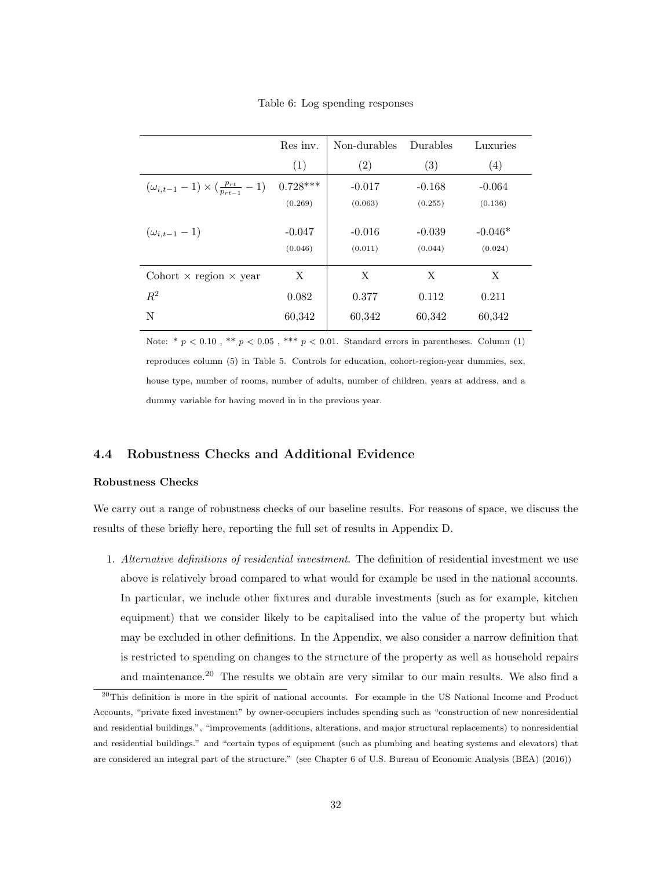Table 6: Log spending responses

|                                                             | Res inv.            | Non-durables        | Durables            | Luxuries             |
|-------------------------------------------------------------|---------------------|---------------------|---------------------|----------------------|
|                                                             | (1)                 | (2)                 | (3)                 | (4)                  |
| $(\omega_{i,t-1} - 1) \times (\frac{p_{rt}}{p_{rt-1}} - 1)$ | $0.728***$          | $-0.017$            | $-0.168$            | $-0.064$             |
|                                                             | (0.269)             | (0.063)             | (0.255)             | (0.136)              |
| $(\omega_{i,t-1}-1)$                                        | $-0.047$<br>(0.046) | $-0.016$<br>(0.011) | $-0.039$<br>(0.044) | $-0.046*$<br>(0.024) |
|                                                             |                     |                     |                     |                      |
| Cohort $\times$ region $\times$ year                        | X                   | X                   | X                   | X                    |
| $R^2$                                                       | 0.082               | 0.377               | 0.112               | 0.211                |
| N                                                           | 60,342              | 60,342              | 60,342              | 60,342               |

Note: \* $p < 0.10$  , \*\*  $p < 0.05$  , \*\*\*  $p < 0.01$  . Standard errors in parentheses. Column (1) reproduces column (5) in Table 5. Controls for education, cohort-region-year dummies, sex, house type, number of rooms, number of adults, number of children, years at address, and a dummy variable for having moved in in the previous year.

#### 4.4 Robustness Checks and Additional Evidence

#### Robustness Checks

We carry out a range of robustness checks of our baseline results. For reasons of space, we discuss the results of these briefly here, reporting the full set of results in Appendix D.

1. Alternative definitions of residential investment. The definition of residential investment we use above is relatively broad compared to what would for example be used in the national accounts. In particular, we include other fixtures and durable investments (such as for example, kitchen equipment) that we consider likely to be capitalised into the value of the property but which may be excluded in other definitions. In the Appendix, we also consider a narrow definition that is restricted to spending on changes to the structure of the property as well as household repairs and maintenance.<sup>20</sup> The results we obtain are very similar to our main results. We also find a

 $^{20}$ This definition is more in the spirit of national accounts. For example in the US National Income and Product Accounts, "private fixed investment" by owner-occupiers includes spending such as "construction of new nonresidential and residential buildings.", "improvements (additions, alterations, and major structural replacements) to nonresidential and residential buildings." and "certain types of equipment (such as plumbing and heating systems and elevators) that are considered an integral part of the structure." (see Chapter 6 of U.S. Bureau of Economic Analysis (BEA) (2016))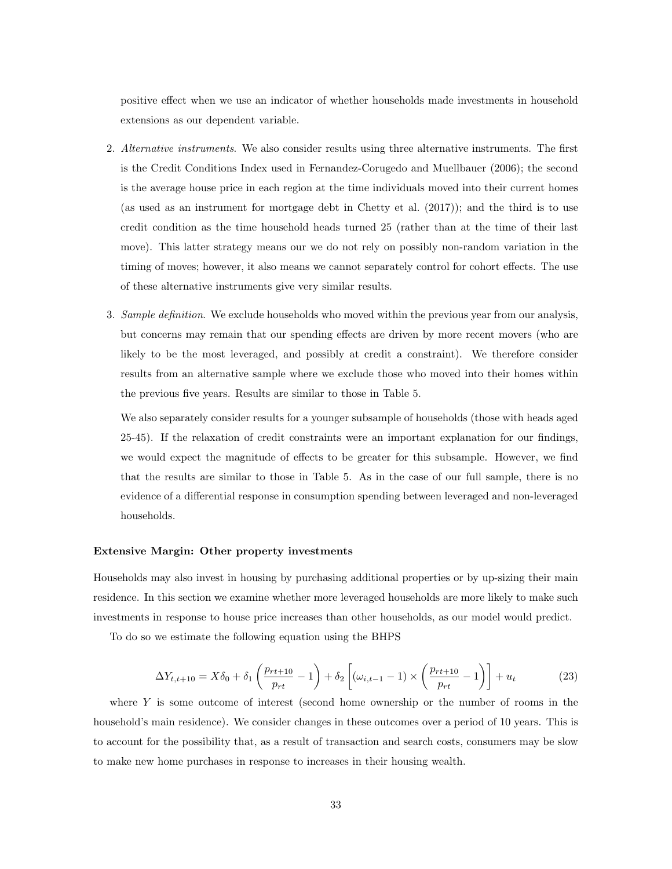positive effect when we use an indicator of whether households made investments in household extensions as our dependent variable.

- 2. Alternative instruments. We also consider results using three alternative instruments. The first is the Credit Conditions Index used in Fernandez-Corugedo and Muellbauer (2006); the second is the average house price in each region at the time individuals moved into their current homes (as used as an instrument for mortgage debt in Chetty et al. (2017)); and the third is to use credit condition as the time household heads turned 25 (rather than at the time of their last move). This latter strategy means our we do not rely on possibly non-random variation in the timing of moves; however, it also means we cannot separately control for cohort effects. The use of these alternative instruments give very similar results.
- 3. Sample definition. We exclude households who moved within the previous year from our analysis, but concerns may remain that our spending effects are driven by more recent movers (who are likely to be the most leveraged, and possibly at credit a constraint). We therefore consider results from an alternative sample where we exclude those who moved into their homes within the previous five years. Results are similar to those in Table 5.

We also separately consider results for a younger subsample of households (those with heads aged 25-45). If the relaxation of credit constraints were an important explanation for our findings, we would expect the magnitude of effects to be greater for this subsample. However, we find that the results are similar to those in Table 5. As in the case of our full sample, there is no evidence of a differential response in consumption spending between leveraged and non-leveraged households.

#### Extensive Margin: Other property investments

Households may also invest in housing by purchasing additional properties or by up-sizing their main residence. In this section we examine whether more leveraged households are more likely to make such investments in response to house price increases than other households, as our model would predict.

To do so we estimate the following equation using the BHPS

$$
\Delta Y_{t,t+10} = X\delta_0 + \delta_1 \left( \frac{p_{rt+10}}{p_{rt}} - 1 \right) + \delta_2 \left[ (\omega_{i,t-1} - 1) \times \left( \frac{p_{rt+10}}{p_{rt}} - 1 \right) \right] + u_t \tag{23}
$$

where  $Y$  is some outcome of interest (second home ownership or the number of rooms in the household's main residence). We consider changes in these outcomes over a period of 10 years. This is to account for the possibility that, as a result of transaction and search costs, consumers may be slow to make new home purchases in response to increases in their housing wealth.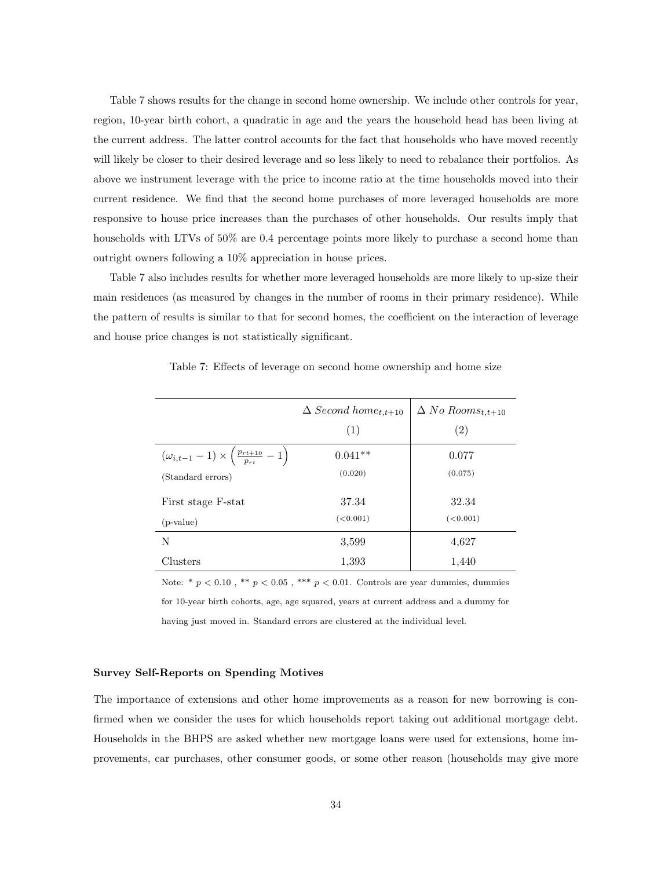Table 7 shows results for the change in second home ownership. We include other controls for year, region, 10-year birth cohort, a quadratic in age and the years the household head has been living at the current address. The latter control accounts for the fact that households who have moved recently will likely be closer to their desired leverage and so less likely to need to rebalance their portfolios. As above we instrument leverage with the price to income ratio at the time households moved into their current residence. We find that the second home purchases of more leveraged households are more responsive to house price increases than the purchases of other households. Our results imply that households with LTVs of 50% are 0.4 percentage points more likely to purchase a second home than outright owners following a 10% appreciation in house prices.

Table 7 also includes results for whether more leveraged households are more likely to up-size their main residences (as measured by changes in the number of rooms in their primary residence). While the pattern of results is similar to that for second homes, the coefficient on the interaction of leverage and house price changes is not statistically significant.

|                                                                           | $\Delta$ Second home <sub>t,t+10</sub> | $\Delta$ No Rooms <sub>t,t+10</sub> |
|---------------------------------------------------------------------------|----------------------------------------|-------------------------------------|
|                                                                           | (1)                                    | (2)                                 |
| $(\omega_{i,t-1} - 1) \times \left( \frac{p_{rt+10}}{p_{rt}} - 1 \right)$ | $0.041**$                              | 0.077                               |
| (Standard errors)                                                         | (0.020)                                | (0.075)                             |
| First stage F-stat                                                        | 37.34                                  | 32.34                               |
| $(p-value)$                                                               | (<0.001)                               | (<0.001)                            |
| N                                                                         | 3,599                                  | 4,627                               |
| Clusters                                                                  | 1,393                                  | 1,440                               |

Table 7: Effects of leverage on second home ownership and home size

Note: \* $p < 0.10$  , \*\*  $p < 0.05$  , \*\*\*  $p < 0.01$  . Controls are year dummies, dummies for 10-year birth cohorts, age, age squared, years at current address and a dummy for having just moved in. Standard errors are clustered at the individual level.

#### Survey Self-Reports on Spending Motives

The importance of extensions and other home improvements as a reason for new borrowing is confirmed when we consider the uses for which households report taking out additional mortgage debt. Households in the BHPS are asked whether new mortgage loans were used for extensions, home improvements, car purchases, other consumer goods, or some other reason (households may give more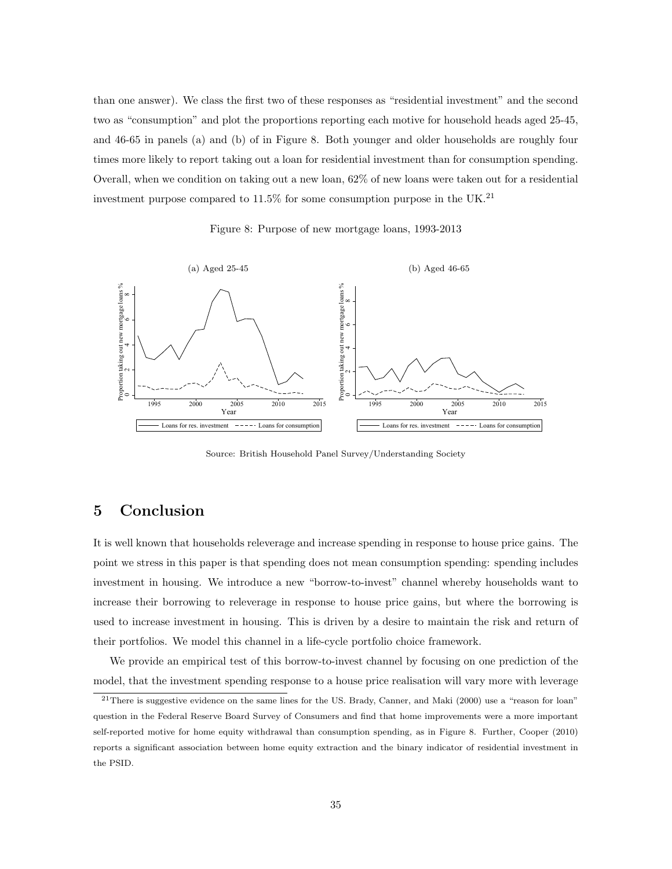than one answer). We class the first two of these responses as "residential investment" and the second two as "consumption" and plot the proportions reporting each motive for household heads aged 25-45, and 46-65 in panels (a) and (b) of in Figure 8. Both younger and older households are roughly four times more likely to report taking out a loan for residential investment than for consumption spending. Overall, when we condition on taking out a new loan, 62% of new loans were taken out for a residential investment purpose compared to 11.5% for some consumption purpose in the UK.<sup>21</sup>

Figure 8: Purpose of new mortgage loans, 1993-2013



Source: British Household Panel Survey/Understanding Society

## 5 Conclusion

It is well known that households releverage and increase spending in response to house price gains. The point we stress in this paper is that spending does not mean consumption spending: spending includes investment in housing. We introduce a new "borrow-to-invest" channel whereby households want to increase their borrowing to releverage in response to house price gains, but where the borrowing is used to increase investment in housing. This is driven by a desire to maintain the risk and return of their portfolios. We model this channel in a life-cycle portfolio choice framework.

We provide an empirical test of this borrow-to-invest channel by focusing on one prediction of the model, that the investment spending response to a house price realisation will vary more with leverage

 $21$ There is suggestive evidence on the same lines for the US. Brady, Canner, and Maki (2000) use a "reason for loan" question in the Federal Reserve Board Survey of Consumers and find that home improvements were a more important self-reported motive for home equity withdrawal than consumption spending, as in Figure 8. Further, Cooper (2010) reports a significant association between home equity extraction and the binary indicator of residential investment in the PSID.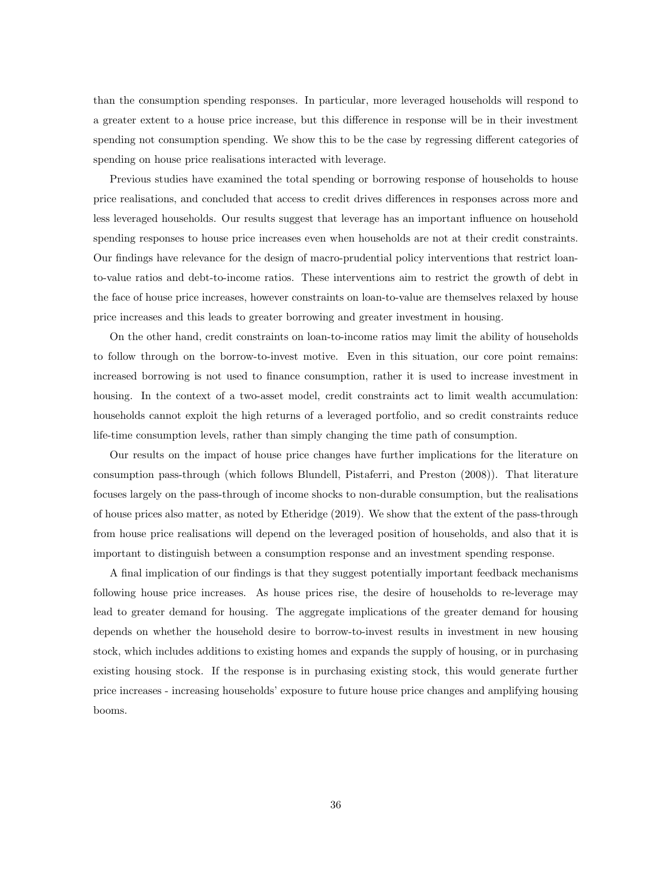than the consumption spending responses. In particular, more leveraged households will respond to a greater extent to a house price increase, but this difference in response will be in their investment spending not consumption spending. We show this to be the case by regressing different categories of spending on house price realisations interacted with leverage.

Previous studies have examined the total spending or borrowing response of households to house price realisations, and concluded that access to credit drives differences in responses across more and less leveraged households. Our results suggest that leverage has an important influence on household spending responses to house price increases even when households are not at their credit constraints. Our findings have relevance for the design of macro-prudential policy interventions that restrict loanto-value ratios and debt-to-income ratios. These interventions aim to restrict the growth of debt in the face of house price increases, however constraints on loan-to-value are themselves relaxed by house price increases and this leads to greater borrowing and greater investment in housing.

On the other hand, credit constraints on loan-to-income ratios may limit the ability of households to follow through on the borrow-to-invest motive. Even in this situation, our core point remains: increased borrowing is not used to finance consumption, rather it is used to increase investment in housing. In the context of a two-asset model, credit constraints act to limit wealth accumulation: households cannot exploit the high returns of a leveraged portfolio, and so credit constraints reduce life-time consumption levels, rather than simply changing the time path of consumption.

Our results on the impact of house price changes have further implications for the literature on consumption pass-through (which follows Blundell, Pistaferri, and Preston (2008)). That literature focuses largely on the pass-through of income shocks to non-durable consumption, but the realisations of house prices also matter, as noted by Etheridge (2019). We show that the extent of the pass-through from house price realisations will depend on the leveraged position of households, and also that it is important to distinguish between a consumption response and an investment spending response.

A final implication of our findings is that they suggest potentially important feedback mechanisms following house price increases. As house prices rise, the desire of households to re-leverage may lead to greater demand for housing. The aggregate implications of the greater demand for housing depends on whether the household desire to borrow-to-invest results in investment in new housing stock, which includes additions to existing homes and expands the supply of housing, or in purchasing existing housing stock. If the response is in purchasing existing stock, this would generate further price increases - increasing households' exposure to future house price changes and amplifying housing booms.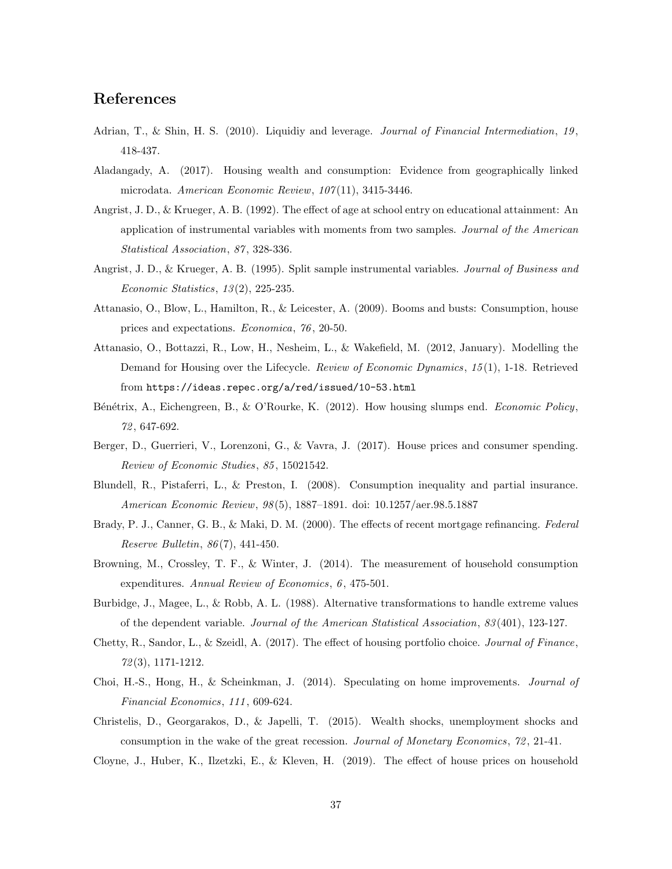## References

- Adrian, T., & Shin, H. S. (2010). Liquidiy and leverage. *Journal of Financial Intermediation*, 19, 418-437.
- Aladangady, A. (2017). Housing wealth and consumption: Evidence from geographically linked microdata. American Economic Review, 107(11), 3415-3446.
- Angrist, J. D., & Krueger, A. B. (1992). The effect of age at school entry on educational attainment: An application of instrumental variables with moments from two samples. Journal of the American Statistical Association, 87, 328-336.
- Angrist, J. D., & Krueger, A. B. (1995). Split sample instrumental variables. Journal of Business and Economic Statistics, 13 (2), 225-235.
- Attanasio, O., Blow, L., Hamilton, R., & Leicester, A. (2009). Booms and busts: Consumption, house prices and expectations. Economica, 76 , 20-50.
- Attanasio, O., Bottazzi, R., Low, H., Nesheim, L., & Wakefield, M. (2012, January). Modelling the Demand for Housing over the Lifecycle. Review of Economic Dynamics, 15(1), 1-18. Retrieved from https://ideas.repec.org/a/red/issued/10-53.html
- Bénétrix, A., Eichengreen, B., & O'Rourke, K. (2012). How housing slumps end. Economic Policy, 72 , 647-692.
- Berger, D., Guerrieri, V., Lorenzoni, G., & Vavra, J. (2017). House prices and consumer spending. Review of Economic Studies, 85 , 15021542.
- Blundell, R., Pistaferri, L., & Preston, I. (2008). Consumption inequality and partial insurance. American Economic Review, 98 (5), 1887–1891. doi: 10.1257/aer.98.5.1887
- Brady, P. J., Canner, G. B., & Maki, D. M. (2000). The effects of recent mortgage refinancing. Federal Reserve Bulletin, 86 (7), 441-450.
- Browning, M., Crossley, T. F., & Winter, J. (2014). The measurement of household consumption expenditures. Annual Review of Economics, 6, 475-501.
- Burbidge, J., Magee, L., & Robb, A. L. (1988). Alternative transformations to handle extreme values of the dependent variable. Journal of the American Statistical Association, 83 (401), 123-127.
- Chetty, R., Sandor, L., & Szeidl, A. (2017). The effect of housing portfolio choice. Journal of Finance, 72 (3), 1171-1212.
- Choi, H.-S., Hong, H., & Scheinkman, J. (2014). Speculating on home improvements. Journal of Financial Economics, 111 , 609-624.
- Christelis, D., Georgarakos, D., & Japelli, T. (2015). Wealth shocks, unemployment shocks and consumption in the wake of the great recession. Journal of Monetary Economics, 72 , 21-41.
- Cloyne, J., Huber, K., Ilzetzki, E., & Kleven, H. (2019). The effect of house prices on household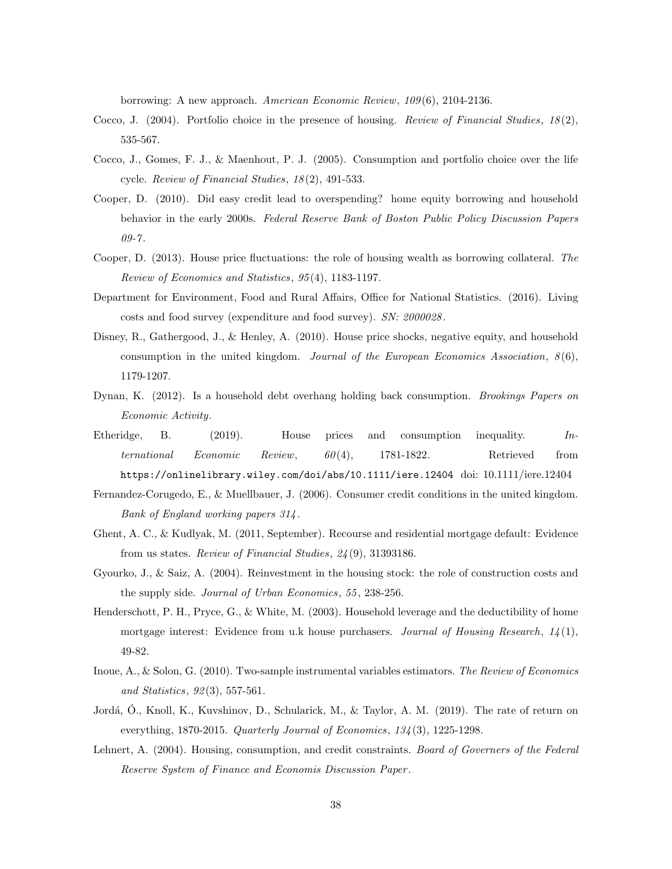borrowing: A new approach. American Economic Review, 109 (6), 2104-2136.

- Cocco, J. (2004). Portfolio choice in the presence of housing. Review of Financial Studies,  $18(2)$ , 535-567.
- Cocco, J., Gomes, F. J., & Maenhout, P. J. (2005). Consumption and portfolio choice over the life cycle. Review of Financial Studies, 18 (2), 491-533.
- Cooper, D. (2010). Did easy credit lead to overspending? home equity borrowing and household behavior in the early 2000s. Federal Reserve Bank of Boston Public Policy Discussion Papers  $09 - 7.$
- Cooper, D. (2013). House price fluctuations: the role of housing wealth as borrowing collateral. The Review of Economics and Statistics, 95 (4), 1183-1197.
- Department for Environment, Food and Rural Affairs, Office for National Statistics. (2016). Living costs and food survey (expenditure and food survey). SN: 2000028 .
- Disney, R., Gathergood, J., & Henley, A. (2010). House price shocks, negative equity, and household consumption in the united kingdom. Journal of the European Economics Association,  $8(6)$ , 1179-1207.
- Dynan, K. (2012). Is a household debt overhang holding back consumption. Brookings Papers on Economic Activity.
- Etheridge, B. (2019). House prices and consumption inequality. International Economic Review, 60 (4), 1781-1822. Retrieved from https://onlinelibrary.wiley.com/doi/abs/10.1111/iere.12404 doi: 10.1111/iere.12404
- Fernandez-Corugedo, E., & Muellbauer, J. (2006). Consumer credit conditions in the united kingdom. Bank of England working papers 314 .
- Ghent, A. C., & Kudlyak, M. (2011, September). Recourse and residential mortgage default: Evidence from us states. Review of Financial Studies, 24 (9), 31393186.
- Gyourko, J., & Saiz, A. (2004). Reinvestment in the housing stock: the role of construction costs and the supply side. Journal of Urban Economics, 55, 238-256.
- Henderschott, P. H., Pryce, G., & White, M. (2003). Household leverage and the deductibility of home mortgage interest: Evidence from u.k house purchasers. Journal of Housing Research,  $14(1)$ , 49-82.
- Inoue, A., & Solon, G. (2010). Two-sample instrumental variables estimators. The Review of Economics and Statistics, 92(3), 557-561.
- Jordá, O., Knoll, K., Kuvshinov, D., Schularick, M., & Taylor, A. M. (2019). The rate of return on everything, 1870-2015. Quarterly Journal of Economics, 134 (3), 1225-1298.
- Lehnert, A. (2004). Housing, consumption, and credit constraints. Board of Governers of the Federal Reserve System of Finance and Economis Discussion Paper .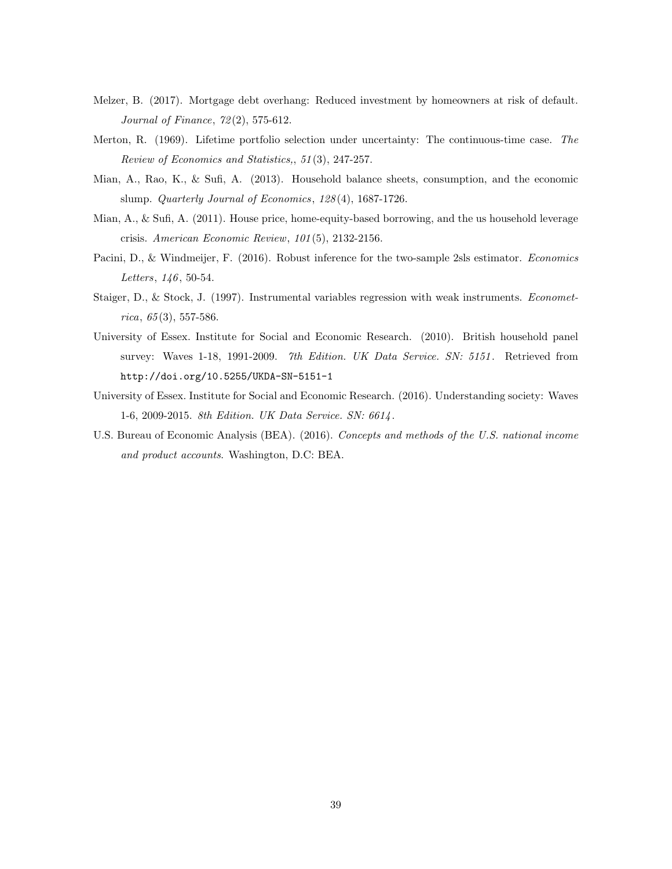- Melzer, B. (2017). Mortgage debt overhang: Reduced investment by homeowners at risk of default. Journal of Finance, 72 (2), 575-612.
- Merton, R. (1969). Lifetime portfolio selection under uncertainty: The continuous-time case. The Review of Economics and Statistics,, 51 (3), 247-257.
- Mian, A., Rao, K., & Sufi, A. (2013). Household balance sheets, consumption, and the economic slump. Quarterly Journal of Economics, 128 (4), 1687-1726.
- Mian, A., & Sufi, A. (2011). House price, home-equity-based borrowing, and the us household leverage crisis. American Economic Review, 101 (5), 2132-2156.
- Pacini, D., & Windmeijer, F. (2016). Robust inference for the two-sample 2sls estimator. Economics Letters, 146, 50-54.
- Staiger, D., & Stock, J. (1997). Instrumental variables regression with weak instruments. Economet $rica, 65(3), 557-586.$
- University of Essex. Institute for Social and Economic Research. (2010). British household panel survey: Waves 1-18, 1991-2009. 7th Edition. UK Data Service. SN: 5151. Retrieved from http://doi.org/10.5255/UKDA-SN-5151-1
- University of Essex. Institute for Social and Economic Research. (2016). Understanding society: Waves 1-6, 2009-2015. 8th Edition. UK Data Service. SN: 6614 .
- U.S. Bureau of Economic Analysis (BEA). (2016). Concepts and methods of the U.S. national income and product accounts. Washington, D.C: BEA.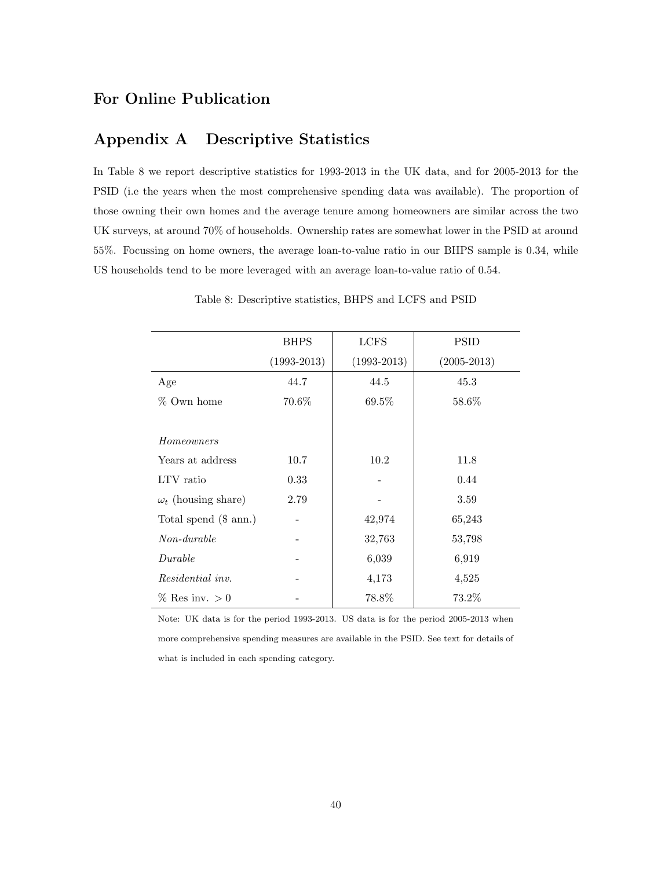## For Online Publication

## Appendix A Descriptive Statistics

In Table 8 we report descriptive statistics for 1993-2013 in the UK data, and for 2005-2013 for the PSID (i.e the years when the most comprehensive spending data was available). The proportion of those owning their own homes and the average tenure among homeowners are similar across the two UK surveys, at around 70% of households. Ownership rates are somewhat lower in the PSID at around 55%. Focussing on home owners, the average loan-to-value ratio in our BHPS sample is 0.34, while US households tend to be more leveraged with an average loan-to-value ratio of 0.54.

|                            | <b>BHPS</b>     | <b>LCFS</b>     | <b>PSID</b>     |
|----------------------------|-----------------|-----------------|-----------------|
|                            | $(1993 - 2013)$ | $(1993 - 2013)$ | $(2005 - 2013)$ |
| Age                        | 44.7            | 44.5            | 45.3            |
| % Own home                 | 70.6%           | $69.5\%$        | 58.6%           |
|                            |                 |                 |                 |
| Homeowners                 |                 |                 |                 |
| Years at address           | 10.7            | 10.2            | 11.8            |
| LTV ratio                  | 0.33            |                 | 0.44            |
| $\omega_t$ (housing share) | 2.79            |                 | 3.59            |
| Total spend $(\$$ ann.)    |                 | 42,974          | 65,243          |
| $Non-durable$              |                 | 32,763          | 53,798          |
| Durable                    |                 | 6,039           | 6,919           |
| <i>Residential inv.</i>    |                 | 4,173           | 4,525           |
| $%$ Res inv. $>0$          |                 | 78.8%           | 73.2%           |

Table 8: Descriptive statistics, BHPS and LCFS and PSID

Note: UK data is for the period 1993-2013. US data is for the period 2005-2013 when more comprehensive spending measures are available in the PSID. See text for details of what is included in each spending category.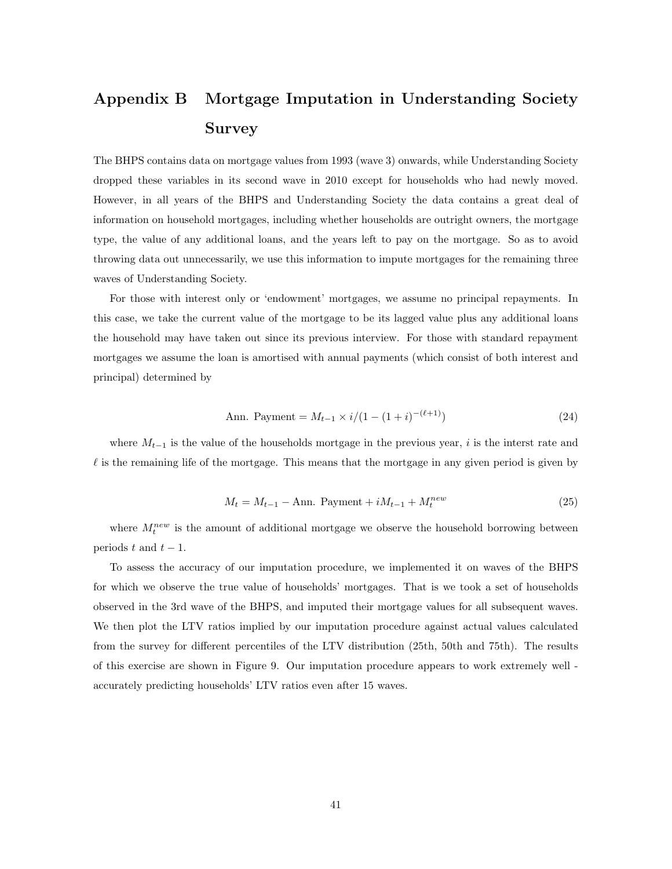## Appendix B Mortgage Imputation in Understanding Society Survey

The BHPS contains data on mortgage values from 1993 (wave 3) onwards, while Understanding Society dropped these variables in its second wave in 2010 except for households who had newly moved. However, in all years of the BHPS and Understanding Society the data contains a great deal of information on household mortgages, including whether households are outright owners, the mortgage type, the value of any additional loans, and the years left to pay on the mortgage. So as to avoid throwing data out unnecessarily, we use this information to impute mortgages for the remaining three waves of Understanding Society.

For those with interest only or 'endowment' mortgages, we assume no principal repayments. In this case, we take the current value of the mortgage to be its lagged value plus any additional loans the household may have taken out since its previous interview. For those with standard repayment mortgages we assume the loan is amortised with annual payments (which consist of both interest and principal) determined by

Ann. Payment = 
$$
M_{t-1} \times i/(1 - (1+i)^{-(\ell+1)})
$$
 (24)

where  $M_{t-1}$  is the value of the households mortgage in the previous year, i is the interst rate and  $\ell$  is the remaining life of the mortgage. This means that the mortgage in any given period is given by

$$
M_t = M_{t-1} - \text{Ann. Payment} + iM_{t-1} + M_t^{new}
$$
\n(25)

where  $M_t^{new}$  is the amount of additional mortgage we observe the household borrowing between periods t and  $t - 1$ .

To assess the accuracy of our imputation procedure, we implemented it on waves of the BHPS for which we observe the true value of households' mortgages. That is we took a set of households observed in the 3rd wave of the BHPS, and imputed their mortgage values for all subsequent waves. We then plot the LTV ratios implied by our imputation procedure against actual values calculated from the survey for different percentiles of the LTV distribution (25th, 50th and 75th). The results of this exercise are shown in Figure 9. Our imputation procedure appears to work extremely well accurately predicting households' LTV ratios even after 15 waves.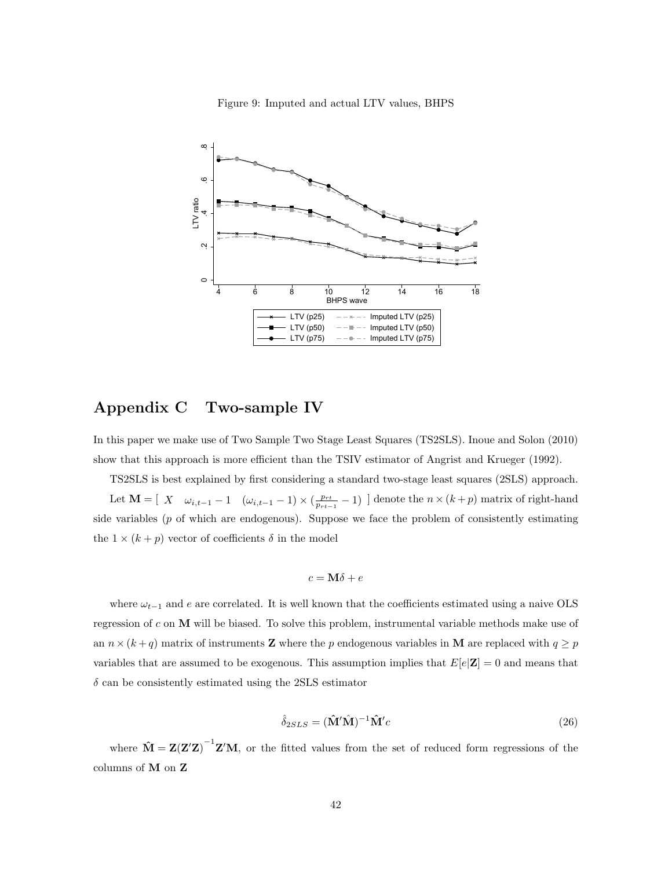



### Appendix C Two-sample IV

In this paper we make use of Two Sample Two Stage Least Squares (TS2SLS). Inoue and Solon (2010) show that this approach is more efficient than the TSIV estimator of Angrist and Krueger (1992).

TS2SLS is best explained by first considering a standard two-stage least squares (2SLS) approach. Let  $\mathbf{M} = [X \quad \omega_{i,t-1} - 1 \quad (\omega_{i,t-1} - 1) \times (\frac{p_{rt}}{p_{rt-1}} - 1)]$  denote the  $n \times (k+p)$  matrix of right-hand side variables  $(p \text{ of which are endogenous})$ . Suppose we face the problem of consistently estimating the  $1 \times (k+p)$  vector of coefficients  $\delta$  in the model

$$
c = \mathbf{M}\delta + e
$$

where  $\omega_{t-1}$  and e are correlated. It is well known that the coefficients estimated using a naive OLS regression of c on M will be biased. To solve this problem, instrumental variable methods make use of an  $n \times (k + q)$  matrix of instruments **Z** where the p endogenous variables in **M** are replaced with  $q \geq p$ variables that are assumed to be exogenous. This assumption implies that  $E[e|\mathbf{Z}] = 0$  and means that  $\delta$  can be consistently estimated using the 2SLS estimator

$$
\hat{\delta}_{2SLS} = (\hat{\mathbf{M}}'\hat{\mathbf{M}})^{-1}\hat{\mathbf{M}}'c\tag{26}
$$

where  $\mathbf{\hat{M}} = \mathbf{Z}(\mathbf{Z}'\mathbf{Z})^{-1}\mathbf{Z}'\mathbf{M}$ , or the fitted values from the set of reduced form regressions of the columns of M on Z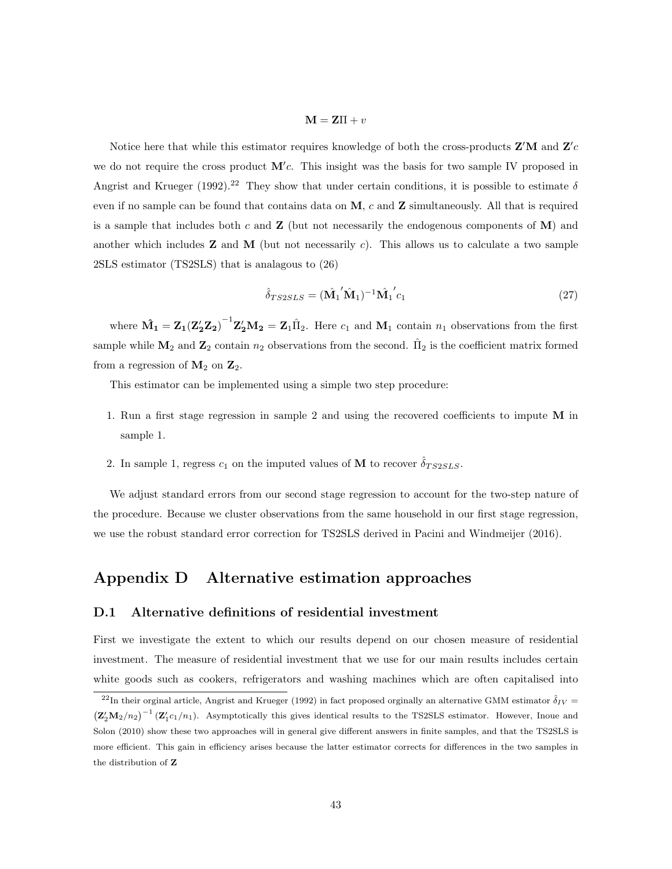#### $M = Z\Pi + v$

Notice here that while this estimator requires knowledge of both the cross-products  $\mathbf{Z}'\mathbf{M}$  and  $\mathbf{Z}'c$ we do not require the cross product  $M'c$ . This insight was the basis for two sample IV proposed in Angrist and Krueger (1992).<sup>22</sup> They show that under certain conditions, it is possible to estimate  $\delta$ even if no sample can be found that contains data on  $M$ , c and  $Z$  simultaneously. All that is required is a sample that includes both c and  $\mathbf Z$  (but not necessarily the endogenous components of  $\mathbf M$ ) and another which includes  $Z$  and  $M$  (but not necessarily c). This allows us to calculate a two sample 2SLS estimator (TS2SLS) that is analagous to (26)

$$
\hat{\delta}_{TS2SLS} = (\hat{\mathbf{M}}_1' \hat{\mathbf{M}}_1)^{-1} \hat{\mathbf{M}}_1' c_1
$$
\n(27)

where  $\hat{M_1} = Z_1 (Z_2' Z_2)^{-1} Z_2' M_2 = Z_1 \hat{\Pi}_2$ . Here  $c_1$  and  $M_1$  contain  $n_1$  observations from the first sample while  $M_2$  and  $Z_2$  contain  $n_2$  observations from the second.  $\hat{\Pi}_2$  is the coefficient matrix formed from a regression of  $M_2$  on  $Z_2$ .

This estimator can be implemented using a simple two step procedure:

- 1. Run a first stage regression in sample 2 and using the recovered coefficients to impute M in sample 1.
- 2. In sample 1, regress  $c_1$  on the imputed values of **M** to recover  $\delta_{TS2SLS}$ .

We adjust standard errors from our second stage regression to account for the two-step nature of the procedure. Because we cluster observations from the same household in our first stage regression, we use the robust standard error correction for TS2SLS derived in Pacini and Windmeijer (2016).

## Appendix D Alternative estimation approaches

#### D.1 Alternative definitions of residential investment

First we investigate the extent to which our results depend on our chosen measure of residential investment. The measure of residential investment that we use for our main results includes certain white goods such as cookers, refrigerators and washing machines which are often capitalised into

<sup>&</sup>lt;sup>22</sup>In their orginal article, Angrist and Krueger (1992) in fact proposed orginally an alternative GMM estimator  $\hat{\delta}_{IV}$  =  $(\mathbf{Z}_2'\mathbf{M}_2/n_2)^{-1} (\mathbf{Z}_1'c_1/n_1)$ . Asymptotically this gives identical results to the TS2SLS estimator. However, Inoue and Solon (2010) show these two approaches will in general give different answers in finite samples, and that the TS2SLS is more efficient. This gain in efficiency arises because the latter estimator corrects for differences in the two samples in the distribution of Z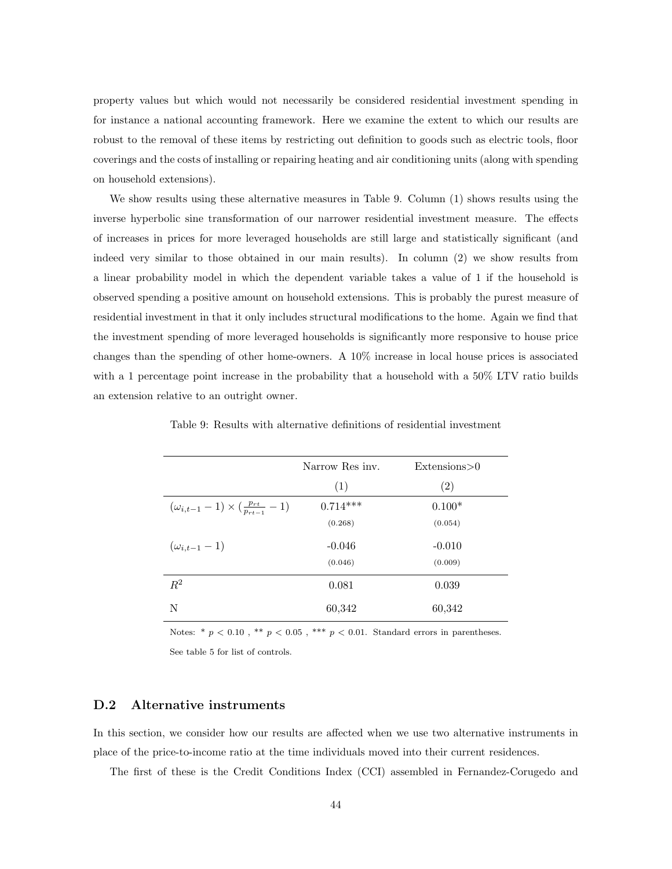property values but which would not necessarily be considered residential investment spending in for instance a national accounting framework. Here we examine the extent to which our results are robust to the removal of these items by restricting out definition to goods such as electric tools, floor coverings and the costs of installing or repairing heating and air conditioning units (along with spending on household extensions).

We show results using these alternative measures in Table 9. Column (1) shows results using the inverse hyperbolic sine transformation of our narrower residential investment measure. The effects of increases in prices for more leveraged households are still large and statistically significant (and indeed very similar to those obtained in our main results). In column (2) we show results from a linear probability model in which the dependent variable takes a value of 1 if the household is observed spending a positive amount on household extensions. This is probably the purest measure of residential investment in that it only includes structural modifications to the home. Again we find that the investment spending of more leveraged households is significantly more responsive to house price changes than the spending of other home-owners. A 10% increase in local house prices is associated with a 1 percentage point increase in the probability that a household with a  $50\%$  LTV ratio builds an extension relative to an outright owner.

|                                                             | Narrow Res inv. | Extensions > 0 |
|-------------------------------------------------------------|-----------------|----------------|
|                                                             | (1)             | (2)            |
| $(\omega_{i,t-1} - 1) \times (\frac{p_{rt}}{p_{rt-1}} - 1)$ | $0.714***$      | $0.100*$       |
|                                                             | (0.268)         | (0.054)        |
| $(\omega_{i,t-1}-1)$                                        | $-0.046$        | $-0.010$       |
|                                                             | (0.046)         | (0.009)        |
| $\mathbb{R}^2$                                              | 0.081           | 0.039          |
| N                                                           | 60,342          | 60,342         |

Table 9: Results with alternative definitions of residential investment

Notes: \* $p$  < 0.10 , \*\*  $p$  < 0.05 , \*\*\*  $p$  < 0.01. Standard errors in parentheses. See table 5 for list of controls.

#### D.2 Alternative instruments

In this section, we consider how our results are affected when we use two alternative instruments in place of the price-to-income ratio at the time individuals moved into their current residences.

The first of these is the Credit Conditions Index (CCI) assembled in Fernandez-Corugedo and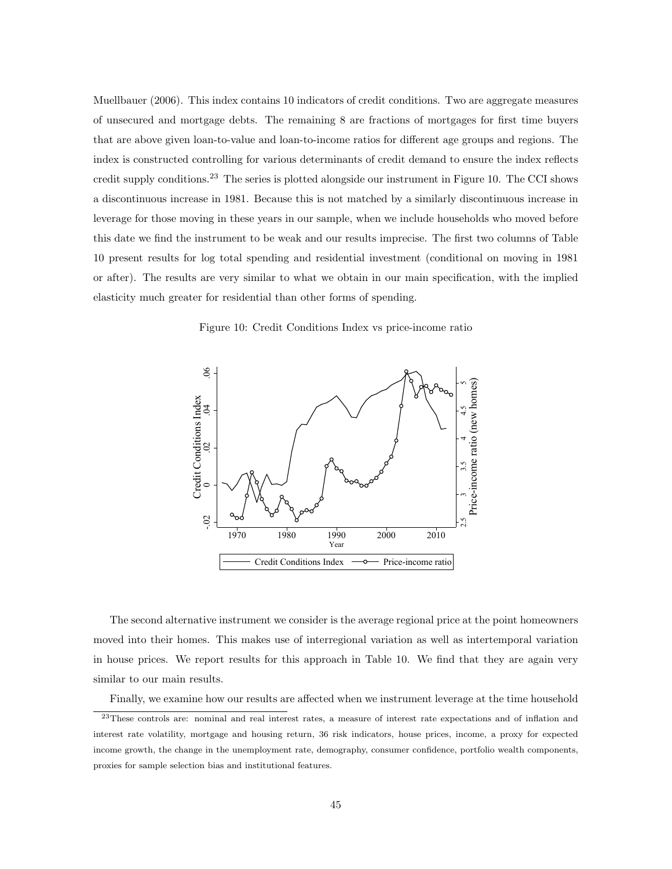Muellbauer (2006). This index contains 10 indicators of credit conditions. Two are aggregate measures of unsecured and mortgage debts. The remaining 8 are fractions of mortgages for first time buyers that are above given loan-to-value and loan-to-income ratios for different age groups and regions. The index is constructed controlling for various determinants of credit demand to ensure the index reflects credit supply conditions.<sup>23</sup> The series is plotted alongside our instrument in Figure 10. The CCI shows a discontinuous increase in 1981. Because this is not matched by a similarly discontinuous increase in leverage for those moving in these years in our sample, when we include households who moved before this date we find the instrument to be weak and our results imprecise. The first two columns of Table 10 present results for log total spending and residential investment (conditional on moving in 1981 or after). The results are very similar to what we obtain in our main specification, with the implied elasticity much greater for residential than other forms of spending.

Figure 10: Credit Conditions Index vs price-income ratio



The second alternative instrument we consider is the average regional price at the point homeowners moved into their homes. This makes use of interregional variation as well as intertemporal variation in house prices. We report results for this approach in Table 10. We find that they are again very similar to our main results.

Finally, we examine how our results are affected when we instrument leverage at the time household

<sup>23</sup>These controls are: nominal and real interest rates, a measure of interest rate expectations and of inflation and interest rate volatility, mortgage and housing return, 36 risk indicators, house prices, income, a proxy for expected income growth, the change in the unemployment rate, demography, consumer confidence, portfolio wealth components, proxies for sample selection bias and institutional features.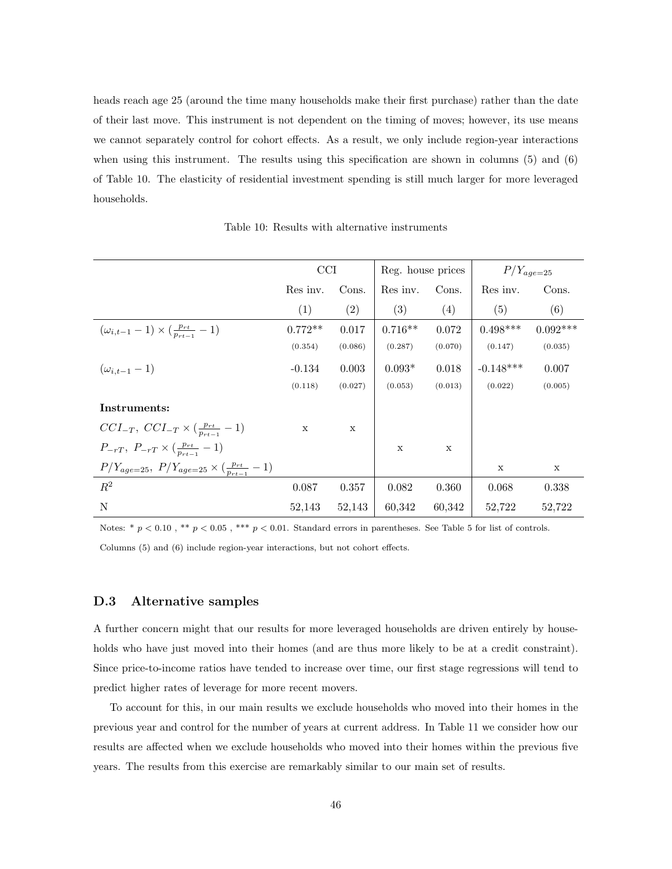heads reach age 25 (around the time many households make their first purchase) rather than the date of their last move. This instrument is not dependent on the timing of moves; however, its use means we cannot separately control for cohort effects. As a result, we only include region-year interactions when using this instrument. The results using this specification are shown in columns (5) and (6) of Table 10. The elasticity of residential investment spending is still much larger for more leveraged households.

Table 10: Results with alternative instruments

|                                                                    | CCI         |         | Reg. house prices |         | $P/Y_{age=25}$ |            |
|--------------------------------------------------------------------|-------------|---------|-------------------|---------|----------------|------------|
|                                                                    | Res inv.    | Cons.   | Res inv.          | Cons.   | Res inv.       | Cons.      |
|                                                                    | (1)         | (2)     | (3)               | (4)     | (5)            | (6)        |
| $(\omega_{i,t-1} - 1) \times (\frac{p_{rt}}{p_{rt-1}} - 1)$        | $0.772**$   | 0.017   | $0.716**$         | 0.072   | $0.498***$     | $0.092***$ |
|                                                                    | (0.354)     | (0.086) | (0.287)           | (0.070) | (0.147)        | (0.035)    |
| $(\omega_{i,t-1}-1)$                                               | $-0.134$    | 0.003   | $0.093*$          | 0.018   | $-0.148***$    | 0.007      |
|                                                                    | (0.118)     | (0.027) | (0.053)           | (0.013) | (0.022)        | (0.005)    |
| Instruments:                                                       |             |         |                   |         |                |            |
| $CCI_{-T}, CCI_{-T} \times (\frac{p_{rt}}{p_{rt-1}}-1)$            | $\mathbf x$ | X       |                   |         |                |            |
| $P_{-rT}, P_{-rT} \times (\frac{p_{rt}}{p_{rt-1}} - 1)$            |             |         | X                 | X       |                |            |
| $P/Y_{age=25}$ , $P/Y_{age=25} \times (\frac{p_{rt}}{p_{rt-1}}-1)$ |             |         |                   |         | X              | X          |
| $R^2$                                                              | 0.087       | 0.357   | 0.082             | 0.360   | 0.068          | 0.338      |
| N                                                                  | 52,143      | 52,143  | 60,342            | 60,342  | 52,722         | 52,722     |

Notes:  $* p < 0.10$ ,  $** p < 0.05$ ,  $*** p < 0.01$ . Standard errors in parentheses. See Table 5 for list of controls.

Columns (5) and (6) include region-year interactions, but not cohort effects.

#### D.3 Alternative samples

A further concern might that our results for more leveraged households are driven entirely by households who have just moved into their homes (and are thus more likely to be at a credit constraint). Since price-to-income ratios have tended to increase over time, our first stage regressions will tend to predict higher rates of leverage for more recent movers.

To account for this, in our main results we exclude households who moved into their homes in the previous year and control for the number of years at current address. In Table 11 we consider how our results are affected when we exclude households who moved into their homes within the previous five years. The results from this exercise are remarkably similar to our main set of results.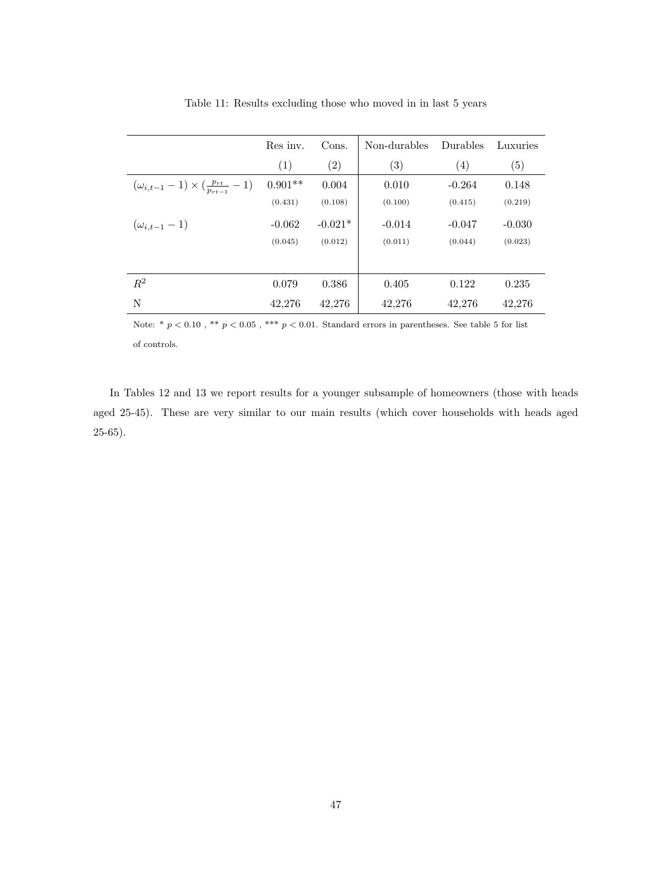|                                                             | Res inv.  | Cons.     | Non-durables | Durables | Luxuries |
|-------------------------------------------------------------|-----------|-----------|--------------|----------|----------|
|                                                             | (1)       | (2)       | (3)          | (4)      | (5)      |
| $(\omega_{i,t-1} - 1) \times (\frac{p_{rt}}{p_{rt-1}} - 1)$ | $0.901**$ | 0.004     | 0.010        | $-0.264$ | 0.148    |
|                                                             | (0.431)   | (0.108)   | (0.100)      | (0.415)  | (0.219)  |
| $(\omega_{i,t-1}-1)$                                        | $-0.062$  | $-0.021*$ | $-0.014$     | $-0.047$ | $-0.030$ |
|                                                             | (0.045)   | (0.012)   | (0.011)      | (0.044)  | (0.023)  |
|                                                             |           |           |              |          |          |
| $R^2$                                                       | 0.079     | 0.386     | 0.405        | 0.122    | 0.235    |
| N                                                           | 42,276    | 42,276    | 42,276       | 42,276   | 42,276   |

Table 11: Results excluding those who moved in in last 5 years

Note: \* $p < 0.10$  , \*\*  $p < 0.05$  , \*\*\*  $p < 0.01.$  Standard errors in parentheses. See table 5 for list of controls.

In Tables 12 and 13 we report results for a younger subsample of homeowners (those with heads aged 25-45). These are very similar to our main results (which cover households with heads aged 25-65).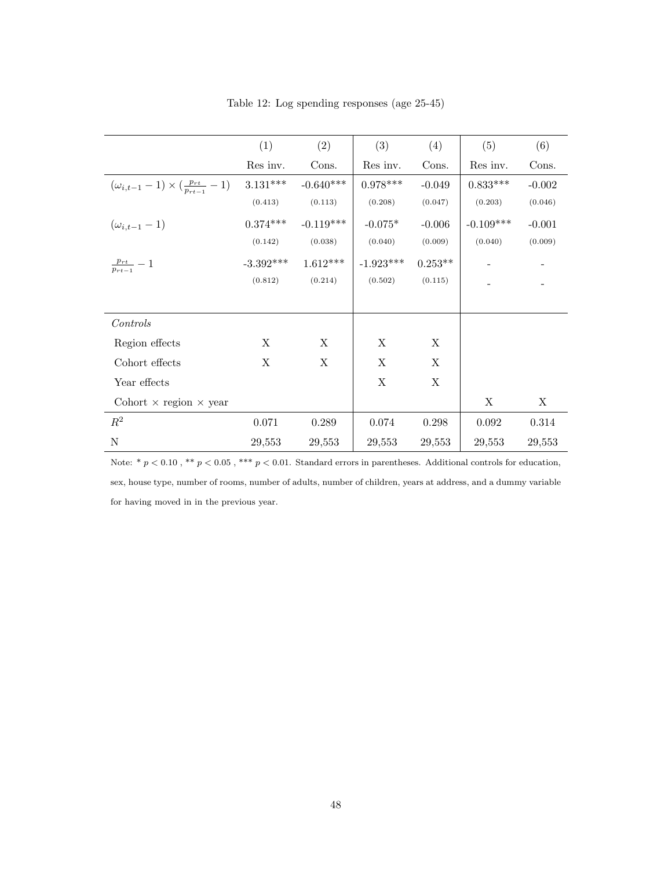|                                                             | (1)         | (2)         | (3)         | (4)         | (5)         | (6)      |
|-------------------------------------------------------------|-------------|-------------|-------------|-------------|-------------|----------|
|                                                             | Res inv.    | Cons.       | Res inv.    | Cons.       | Res inv.    | Cons.    |
| $(\omega_{i,t-1} - 1) \times (\frac{p_{rt}}{p_{rt-1}} - 1)$ | $3.131***$  | $-0.640***$ | $0.978***$  | $-0.049$    | $0.833***$  | $-0.002$ |
|                                                             | (0.413)     | (0.113)     | (0.208)     | (0.047)     | (0.203)     | (0.046)  |
| $(\omega_{i,t-1}-1)$                                        | $0.374***$  | $-0.119***$ | $-0.075*$   | $-0.006$    | $-0.109***$ | $-0.001$ |
|                                                             | (0.142)     | (0.038)     | (0.040)     | (0.009)     | (0.040)     | (0.009)  |
| $\frac{p_{rt}}{p_{rt-1}} - 1$                               | $-3.392***$ | $1.612***$  | $-1.923***$ | $0.253**$   |             |          |
|                                                             | (0.812)     | (0.214)     | (0.502)     | (0.115)     |             |          |
|                                                             |             |             |             |             |             |          |
| Controls                                                    |             |             |             |             |             |          |
| Region effects                                              | X           | X           | X           | $\mathbf X$ |             |          |
| Cohort effects                                              | X           | X           | X           | X           |             |          |
| Year effects                                                |             |             | $\mathbf X$ | $\mathbf X$ |             |          |
| Cohort $\times$ region $\times$ year                        |             |             |             |             | X           | X        |
| $R^2$                                                       | 0.071       | 0.289       | 0.074       | 0.298       | 0.092       | 0.314    |
| $\mathbf N$                                                 | 29,553      | 29,553      | 29,553      | 29,553      | 29,553      | 29,553   |

Table 12: Log spending responses (age 25-45)

Note: \* $p < 0.10$  , \*\*  $p < 0.05$  , \*\*\*  $p < 0.01$  . Standard errors in parentheses. Additional controls for education, sex, house type, number of rooms, number of adults, number of children, years at address, and a dummy variable for having moved in in the previous year.